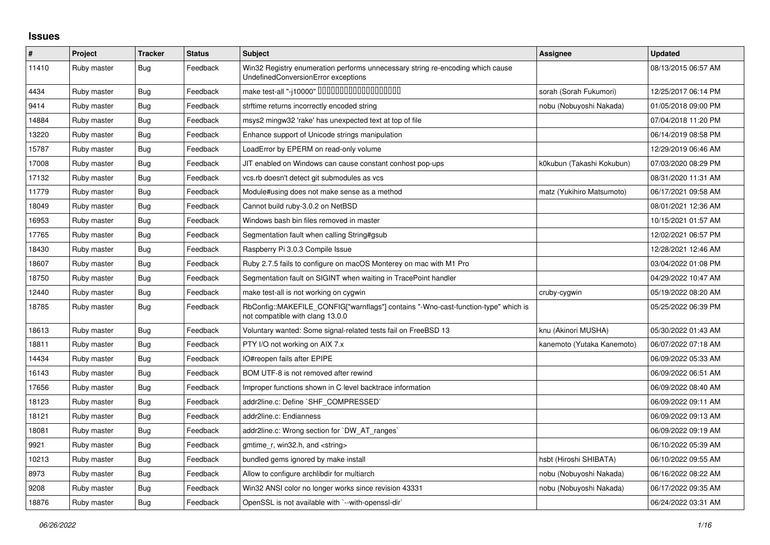## **Issues**

| $\pmb{\#}$ | Project     | <b>Tracker</b> | <b>Status</b> | <b>Subject</b>                                                                                                         | <b>Assignee</b>            | <b>Updated</b>      |
|------------|-------------|----------------|---------------|------------------------------------------------------------------------------------------------------------------------|----------------------------|---------------------|
| 11410      | Ruby master | Bug            | Feedback      | Win32 Registry enumeration performs unnecessary string re-encoding which cause<br>UndefinedConversionError exceptions  |                            | 08/13/2015 06:57 AM |
| 4434       | Ruby master | Bug            | Feedback      | make test-all "-j10000" 0000000000000000000                                                                            | sorah (Sorah Fukumori)     | 12/25/2017 06:14 PM |
| 9414       | Ruby master | <b>Bug</b>     | Feedback      | strftime returns incorrectly encoded string                                                                            | nobu (Nobuyoshi Nakada)    | 01/05/2018 09:00 PM |
| 14884      | Ruby master | Bug            | Feedback      | msys2 mingw32 'rake' has unexpected text at top of file                                                                |                            | 07/04/2018 11:20 PM |
| 13220      | Ruby master | Bug            | Feedback      | Enhance support of Unicode strings manipulation                                                                        |                            | 06/14/2019 08:58 PM |
| 15787      | Ruby master | Bug            | Feedback      | LoadError by EPERM on read-only volume                                                                                 |                            | 12/29/2019 06:46 AM |
| 17008      | Ruby master | Bug            | Feedback      | JIT enabled on Windows can cause constant conhost pop-ups                                                              | k0kubun (Takashi Kokubun)  | 07/03/2020 08:29 PM |
| 17132      | Ruby master | <b>Bug</b>     | Feedback      | vcs.rb doesn't detect git submodules as vcs                                                                            |                            | 08/31/2020 11:31 AM |
| 11779      | Ruby master | Bug            | Feedback      | Module#using does not make sense as a method                                                                           | matz (Yukihiro Matsumoto)  | 06/17/2021 09:58 AM |
| 18049      | Ruby master | Bug            | Feedback      | Cannot build ruby-3.0.2 on NetBSD                                                                                      |                            | 08/01/2021 12:36 AM |
| 16953      | Ruby master | <b>Bug</b>     | Feedback      | Windows bash bin files removed in master                                                                               |                            | 10/15/2021 01:57 AM |
| 17765      | Ruby master | Bug            | Feedback      | Segmentation fault when calling String#gsub                                                                            |                            | 12/02/2021 06:57 PM |
| 18430      | Ruby master | Bug            | Feedback      | Raspberry Pi 3.0.3 Compile Issue                                                                                       |                            | 12/28/2021 12:46 AM |
| 18607      | Ruby master | Bug            | Feedback      | Ruby 2.7.5 fails to configure on macOS Monterey on mac with M1 Pro                                                     |                            | 03/04/2022 01:08 PM |
| 18750      | Ruby master | Bug            | Feedback      | Segmentation fault on SIGINT when waiting in TracePoint handler                                                        |                            | 04/29/2022 10:47 AM |
| 12440      | Ruby master | Bug            | Feedback      | make test-all is not working on cygwin                                                                                 | cruby-cygwin               | 05/19/2022 08:20 AM |
| 18785      | Ruby master | <b>Bug</b>     | Feedback      | RbConfig::MAKEFILE_CONFIG["warnflags"] contains "-Wno-cast-function-type" which is<br>not compatible with clang 13.0.0 |                            | 05/25/2022 06:39 PM |
| 18613      | Ruby master | Bug            | Feedback      | Voluntary wanted: Some signal-related tests fail on FreeBSD 13                                                         | knu (Akinori MUSHA)        | 05/30/2022 01:43 AM |
| 18811      | Ruby master | <b>Bug</b>     | Feedback      | PTY I/O not working on AIX 7.x                                                                                         | kanemoto (Yutaka Kanemoto) | 06/07/2022 07:18 AM |
| 14434      | Ruby master | Bug            | Feedback      | IO#reopen fails after EPIPE                                                                                            |                            | 06/09/2022 05:33 AM |
| 16143      | Ruby master | Bug            | Feedback      | BOM UTF-8 is not removed after rewind                                                                                  |                            | 06/09/2022 06:51 AM |
| 17656      | Ruby master | Bug            | Feedback      | Improper functions shown in C level backtrace information                                                              |                            | 06/09/2022 08:40 AM |
| 18123      | Ruby master | Bug            | Feedback      | addr2line.c: Define `SHF COMPRESSED`                                                                                   |                            | 06/09/2022 09:11 AM |
| 18121      | Ruby master | Bug            | Feedback      | addr2line.c: Endianness                                                                                                |                            | 06/09/2022 09:13 AM |
| 18081      | Ruby master | <b>Bug</b>     | Feedback      | addr2line.c: Wrong section for `DW AT ranges`                                                                          |                            | 06/09/2022 09:19 AM |
| 9921       | Ruby master | <b>Bug</b>     | Feedback      | gmtime_r, win32.h, and <string></string>                                                                               |                            | 06/10/2022 05:39 AM |
| 10213      | Ruby master | Bug            | Feedback      | bundled gems ignored by make install                                                                                   | hsbt (Hiroshi SHIBATA)     | 06/10/2022 09:55 AM |
| 8973       | Ruby master | Bug            | Feedback      | Allow to configure archlibdir for multiarch                                                                            | nobu (Nobuyoshi Nakada)    | 06/16/2022 08:22 AM |
| 9208       | Ruby master | Bug            | Feedback      | Win32 ANSI color no longer works since revision 43331                                                                  | nobu (Nobuyoshi Nakada)    | 06/17/2022 09:35 AM |
| 18876      | Ruby master | <b>Bug</b>     | Feedback      | OpenSSL is not available with `--with-openssl-dir`                                                                     |                            | 06/24/2022 03:31 AM |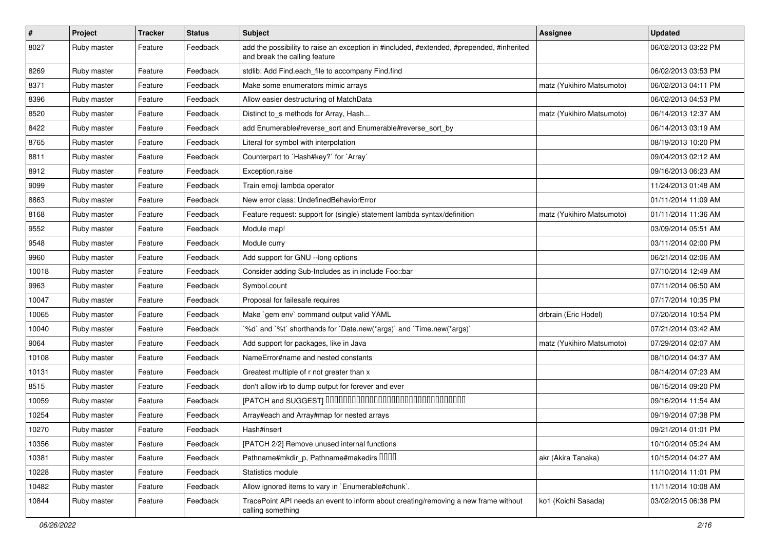| $\pmb{\#}$ | Project     | <b>Tracker</b> | <b>Status</b> | Subject                                                                                                                    | Assignee                  | <b>Updated</b>      |
|------------|-------------|----------------|---------------|----------------------------------------------------------------------------------------------------------------------------|---------------------------|---------------------|
| 8027       | Ruby master | Feature        | Feedback      | add the possibility to raise an exception in #included, #extended, #prepended, #inherited<br>and break the calling feature |                           | 06/02/2013 03:22 PM |
| 8269       | Ruby master | Feature        | Feedback      | stdlib: Add Find.each_file to accompany Find.find                                                                          |                           | 06/02/2013 03:53 PM |
| 8371       | Ruby master | Feature        | Feedback      | Make some enumerators mimic arrays                                                                                         | matz (Yukihiro Matsumoto) | 06/02/2013 04:11 PM |
| 8396       | Ruby master | Feature        | Feedback      | Allow easier destructuring of MatchData                                                                                    |                           | 06/02/2013 04:53 PM |
| 8520       | Ruby master | Feature        | Feedback      | Distinct to_s methods for Array, Hash                                                                                      | matz (Yukihiro Matsumoto) | 06/14/2013 12:37 AM |
| 8422       | Ruby master | Feature        | Feedback      | add Enumerable#reverse_sort and Enumerable#reverse_sort_by                                                                 |                           | 06/14/2013 03:19 AM |
| 8765       | Ruby master | Feature        | Feedback      | Literal for symbol with interpolation                                                                                      |                           | 08/19/2013 10:20 PM |
| 8811       | Ruby master | Feature        | Feedback      | Counterpart to `Hash#key?` for `Array`                                                                                     |                           | 09/04/2013 02:12 AM |
| 8912       | Ruby master | Feature        | Feedback      | Exception.raise                                                                                                            |                           | 09/16/2013 06:23 AM |
| 9099       | Ruby master | Feature        | Feedback      | Train emoji lambda operator                                                                                                |                           | 11/24/2013 01:48 AM |
| 8863       | Ruby master | Feature        | Feedback      | New error class: UndefinedBehaviorError                                                                                    |                           | 01/11/2014 11:09 AM |
| 8168       | Ruby master | Feature        | Feedback      | Feature request: support for (single) statement lambda syntax/definition                                                   | matz (Yukihiro Matsumoto) | 01/11/2014 11:36 AM |
| 9552       | Ruby master | Feature        | Feedback      | Module map!                                                                                                                |                           | 03/09/2014 05:51 AM |
| 9548       | Ruby master | Feature        | Feedback      | Module curry                                                                                                               |                           | 03/11/2014 02:00 PM |
| 9960       | Ruby master | Feature        | Feedback      | Add support for GNU --long options                                                                                         |                           | 06/21/2014 02:06 AM |
| 10018      | Ruby master | Feature        | Feedback      | Consider adding Sub-Includes as in include Foo::bar                                                                        |                           | 07/10/2014 12:49 AM |
| 9963       | Ruby master | Feature        | Feedback      | Symbol.count                                                                                                               |                           | 07/11/2014 06:50 AM |
| 10047      | Ruby master | Feature        | Feedback      | Proposal for failesafe requires                                                                                            |                           | 07/17/2014 10:35 PM |
| 10065      | Ruby master | Feature        | Feedback      | Make `gem env` command output valid YAML                                                                                   | drbrain (Eric Hodel)      | 07/20/2014 10:54 PM |
| 10040      | Ruby master | Feature        | Feedback      | '%d' and '%t' shorthands for 'Date.new(*args)' and 'Time.new(*args)'                                                       |                           | 07/21/2014 03:42 AM |
| 9064       | Ruby master | Feature        | Feedback      | Add support for packages, like in Java                                                                                     | matz (Yukihiro Matsumoto) | 07/29/2014 02:07 AM |
| 10108      | Ruby master | Feature        | Feedback      | NameError#name and nested constants                                                                                        |                           | 08/10/2014 04:37 AM |
| 10131      | Ruby master | Feature        | Feedback      | Greatest multiple of r not greater than x                                                                                  |                           | 08/14/2014 07:23 AM |
| 8515       | Ruby master | Feature        | Feedback      | don't allow irb to dump output for forever and ever                                                                        |                           | 08/15/2014 09:20 PM |
| 10059      | Ruby master | Feature        | Feedback      | [PATCH and SUGGEST] 0000000000000000000000000000000                                                                        |                           | 09/16/2014 11:54 AM |
| 10254      | Ruby master | Feature        | Feedback      | Array#each and Array#map for nested arrays                                                                                 |                           | 09/19/2014 07:38 PM |
| 10270      | Ruby master | Feature        | Feedback      | Hash#insert                                                                                                                |                           | 09/21/2014 01:01 PM |
| 10356      | Ruby master | Feature        | Feedback      | [PATCH 2/2] Remove unused internal functions                                                                               |                           | 10/10/2014 05:24 AM |
| 10381      | Ruby master | Feature        | Feedback      | Pathname#mkdir_p, Pathname#makedirs DDDD                                                                                   | akr (Akira Tanaka)        | 10/15/2014 04:27 AM |
| 10228      | Ruby master | Feature        | Feedback      | Statistics module                                                                                                          |                           | 11/10/2014 11:01 PM |
| 10482      | Ruby master | Feature        | Feedback      | Allow ignored items to vary in `Enumerable#chunk`.                                                                         |                           | 11/11/2014 10:08 AM |
| 10844      | Ruby master | Feature        | Feedback      | TracePoint API needs an event to inform about creating/removing a new frame without<br>calling something                   | ko1 (Koichi Sasada)       | 03/02/2015 06:38 PM |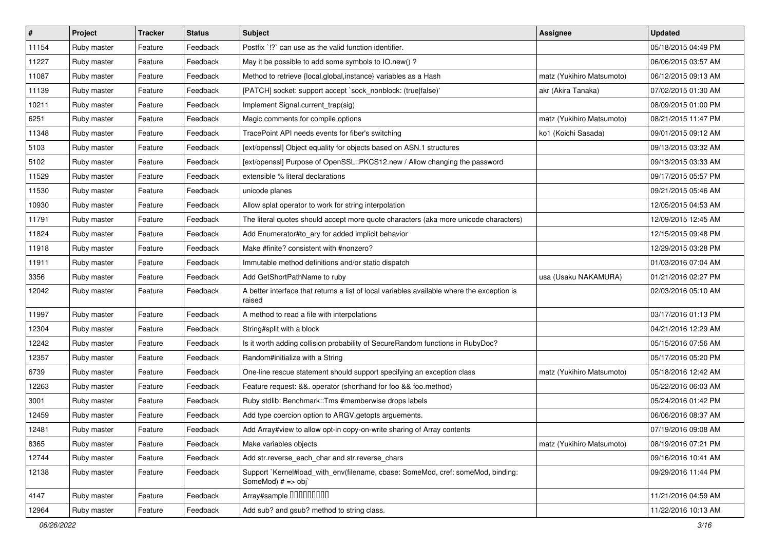| #     | Project     | <b>Tracker</b> | <b>Status</b> | Subject                                                                                               | <b>Assignee</b>           | <b>Updated</b>      |
|-------|-------------|----------------|---------------|-------------------------------------------------------------------------------------------------------|---------------------------|---------------------|
| 11154 | Ruby master | Feature        | Feedback      | Postfix `!?` can use as the valid function identifier.                                                |                           | 05/18/2015 04:49 PM |
| 11227 | Ruby master | Feature        | Feedback      | May it be possible to add some symbols to IO.new()?                                                   |                           | 06/06/2015 03:57 AM |
| 11087 | Ruby master | Feature        | Feedback      | Method to retrieve {local, global, instance} variables as a Hash                                      | matz (Yukihiro Matsumoto) | 06/12/2015 09:13 AM |
| 11139 | Ruby master | Feature        | Feedback      | [PATCH] socket: support accept `sock_nonblock: (true false)'                                          | akr (Akira Tanaka)        | 07/02/2015 01:30 AM |
| 10211 | Ruby master | Feature        | Feedback      | Implement Signal.current_trap(sig)                                                                    |                           | 08/09/2015 01:00 PM |
| 6251  | Ruby master | Feature        | Feedback      | Magic comments for compile options                                                                    | matz (Yukihiro Matsumoto) | 08/21/2015 11:47 PM |
| 11348 | Ruby master | Feature        | Feedback      | TracePoint API needs events for fiber's switching                                                     | ko1 (Koichi Sasada)       | 09/01/2015 09:12 AM |
| 5103  | Ruby master | Feature        | Feedback      | [ext/openssl] Object equality for objects based on ASN.1 structures                                   |                           | 09/13/2015 03:32 AM |
| 5102  | Ruby master | Feature        | Feedback      | [ext/openssl] Purpose of OpenSSL::PKCS12.new / Allow changing the password                            |                           | 09/13/2015 03:33 AM |
| 11529 | Ruby master | Feature        | Feedback      | extensible % literal declarations                                                                     |                           | 09/17/2015 05:57 PM |
| 11530 | Ruby master | Feature        | Feedback      | unicode planes                                                                                        |                           | 09/21/2015 05:46 AM |
| 10930 | Ruby master | Feature        | Feedback      | Allow splat operator to work for string interpolation                                                 |                           | 12/05/2015 04:53 AM |
| 11791 | Ruby master | Feature        | Feedback      | The literal quotes should accept more quote characters (aka more unicode characters)                  |                           | 12/09/2015 12:45 AM |
| 11824 | Ruby master | Feature        | Feedback      | Add Enumerator#to_ary for added implicit behavior                                                     |                           | 12/15/2015 09:48 PM |
| 11918 | Ruby master | Feature        | Feedback      | Make #finite? consistent with #nonzero?                                                               |                           | 12/29/2015 03:28 PM |
| 11911 | Ruby master | Feature        | Feedback      | Immutable method definitions and/or static dispatch                                                   |                           | 01/03/2016 07:04 AM |
| 3356  | Ruby master | Feature        | Feedback      | Add GetShortPathName to ruby                                                                          | usa (Usaku NAKAMURA)      | 01/21/2016 02:27 PM |
| 12042 | Ruby master | Feature        | Feedback      | A better interface that returns a list of local variables available where the exception is<br>raised  |                           | 02/03/2016 05:10 AM |
| 11997 | Ruby master | Feature        | Feedback      | A method to read a file with interpolations                                                           |                           | 03/17/2016 01:13 PM |
| 12304 | Ruby master | Feature        | Feedback      | String#split with a block                                                                             |                           | 04/21/2016 12:29 AM |
| 12242 | Ruby master | Feature        | Feedback      | Is it worth adding collision probability of SecureRandom functions in RubyDoc?                        |                           | 05/15/2016 07:56 AM |
| 12357 | Ruby master | Feature        | Feedback      | Random#initialize with a String                                                                       |                           | 05/17/2016 05:20 PM |
| 6739  | Ruby master | Feature        | Feedback      | One-line rescue statement should support specifying an exception class                                | matz (Yukihiro Matsumoto) | 05/18/2016 12:42 AM |
| 12263 | Ruby master | Feature        | Feedback      | Feature request: &&. operator (shorthand for foo && foo.method)                                       |                           | 05/22/2016 06:03 AM |
| 3001  | Ruby master | Feature        | Feedback      | Ruby stdlib: Benchmark::Tms #memberwise drops labels                                                  |                           | 05/24/2016 01:42 PM |
| 12459 | Ruby master | Feature        | Feedback      | Add type coercion option to ARGV getopts arguements.                                                  |                           | 06/06/2016 08:37 AM |
| 12481 | Ruby master | Feature        | Feedback      | Add Array#view to allow opt-in copy-on-write sharing of Array contents                                |                           | 07/19/2016 09:08 AM |
| 8365  | Ruby master | Feature        | Feedback      | Make variables objects                                                                                | matz (Yukihiro Matsumoto) | 08/19/2016 07:21 PM |
| 12744 | Ruby master | Feature        | Feedback      | Add str.reverse each char and str.reverse chars                                                       |                           | 09/16/2016 10:41 AM |
| 12138 | Ruby master | Feature        | Feedback      | Support `Kernel#load_with_env(filename, cbase: SomeMod, cref: someMod, binding:<br>SomeMod) # => obj` |                           | 09/29/2016 11:44 PM |
| 4147  | Ruby master | Feature        | Feedback      | Array#sample 00000000                                                                                 |                           | 11/21/2016 04:59 AM |
| 12964 | Ruby master | Feature        | Feedback      | Add sub? and gsub? method to string class.                                                            |                           | 11/22/2016 10:13 AM |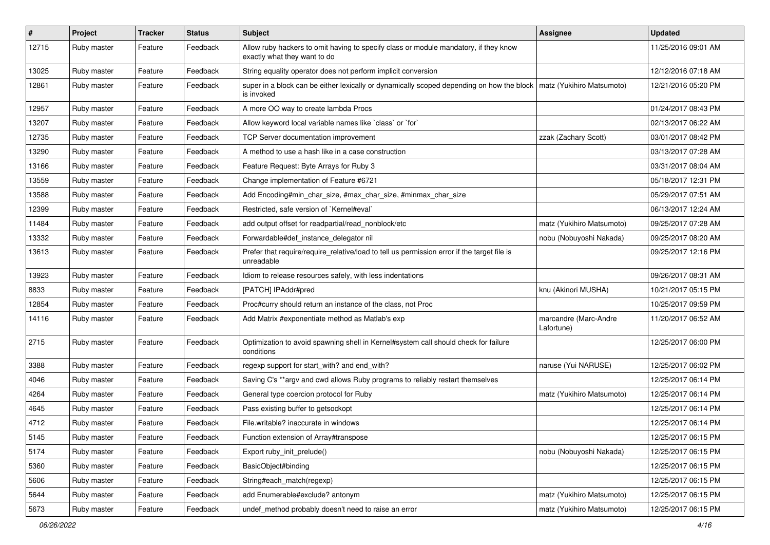| $\vert$ # | Project     | <b>Tracker</b> | <b>Status</b> | Subject                                                                                                              | Assignee                            | <b>Updated</b>      |
|-----------|-------------|----------------|---------------|----------------------------------------------------------------------------------------------------------------------|-------------------------------------|---------------------|
| 12715     | Ruby master | Feature        | Feedback      | Allow ruby hackers to omit having to specify class or module mandatory, if they know<br>exactly what they want to do |                                     | 11/25/2016 09:01 AM |
| 13025     | Ruby master | Feature        | Feedback      | String equality operator does not perform implicit conversion                                                        |                                     | 12/12/2016 07:18 AM |
| 12861     | Ruby master | Feature        | Feedback      | super in a block can be either lexically or dynamically scoped depending on how the block<br>is invoked              | matz (Yukihiro Matsumoto)           | 12/21/2016 05:20 PM |
| 12957     | Ruby master | Feature        | Feedback      | A more OO way to create lambda Procs                                                                                 |                                     | 01/24/2017 08:43 PM |
| 13207     | Ruby master | Feature        | Feedback      | Allow keyword local variable names like `class` or `for`                                                             |                                     | 02/13/2017 06:22 AM |
| 12735     | Ruby master | Feature        | Feedback      | TCP Server documentation improvement                                                                                 | zzak (Zachary Scott)                | 03/01/2017 08:42 PM |
| 13290     | Ruby master | Feature        | Feedback      | A method to use a hash like in a case construction                                                                   |                                     | 03/13/2017 07:28 AM |
| 13166     | Ruby master | Feature        | Feedback      | Feature Request: Byte Arrays for Ruby 3                                                                              |                                     | 03/31/2017 08:04 AM |
| 13559     | Ruby master | Feature        | Feedback      | Change implementation of Feature #6721                                                                               |                                     | 05/18/2017 12:31 PM |
| 13588     | Ruby master | Feature        | Feedback      | Add Encoding#min_char_size, #max_char_size, #minmax_char_size                                                        |                                     | 05/29/2017 07:51 AM |
| 12399     | Ruby master | Feature        | Feedback      | Restricted, safe version of `Kernel#eval`                                                                            |                                     | 06/13/2017 12:24 AM |
| 11484     | Ruby master | Feature        | Feedback      | add output offset for readpartial/read_nonblock/etc                                                                  | matz (Yukihiro Matsumoto)           | 09/25/2017 07:28 AM |
| 13332     | Ruby master | Feature        | Feedback      | Forwardable#def_instance_delegator nil                                                                               | nobu (Nobuyoshi Nakada)             | 09/25/2017 08:20 AM |
| 13613     | Ruby master | Feature        | Feedback      | Prefer that require/require_relative/load to tell us permission error if the target file is<br>unreadable            |                                     | 09/25/2017 12:16 PM |
| 13923     | Ruby master | Feature        | Feedback      | Idiom to release resources safely, with less indentations                                                            |                                     | 09/26/2017 08:31 AM |
| 8833      | Ruby master | Feature        | Feedback      | [PATCH] IPAddr#pred                                                                                                  | knu (Akinori MUSHA)                 | 10/21/2017 05:15 PM |
| 12854     | Ruby master | Feature        | Feedback      | Proc#curry should return an instance of the class, not Proc                                                          |                                     | 10/25/2017 09:59 PM |
| 14116     | Ruby master | Feature        | Feedback      | Add Matrix #exponentiate method as Matlab's exp                                                                      | marcandre (Marc-Andre<br>Lafortune) | 11/20/2017 06:52 AM |
| 2715      | Ruby master | Feature        | Feedback      | Optimization to avoid spawning shell in Kernel#system call should check for failure<br>conditions                    |                                     | 12/25/2017 06:00 PM |
| 3388      | Ruby master | Feature        | Feedback      | regexp support for start_with? and end_with?                                                                         | naruse (Yui NARUSE)                 | 12/25/2017 06:02 PM |
| 4046      | Ruby master | Feature        | Feedback      | Saving C's ** argv and cwd allows Ruby programs to reliably restart themselves                                       |                                     | 12/25/2017 06:14 PM |
| 4264      | Ruby master | Feature        | Feedback      | General type coercion protocol for Ruby                                                                              | matz (Yukihiro Matsumoto)           | 12/25/2017 06:14 PM |
| 4645      | Ruby master | Feature        | Feedback      | Pass existing buffer to getsockopt                                                                                   |                                     | 12/25/2017 06:14 PM |
| 4712      | Ruby master | Feature        | Feedback      | File.writable? inaccurate in windows                                                                                 |                                     | 12/25/2017 06:14 PM |
| 5145      | Ruby master | Feature        | Feedback      | Function extension of Array#transpose                                                                                |                                     | 12/25/2017 06:15 PM |
| 5174      | Ruby master | Feature        | Feedback      | Export ruby_init_prelude()                                                                                           | nobu (Nobuyoshi Nakada)             | 12/25/2017 06:15 PM |
| 5360      | Ruby master | Feature        | Feedback      | BasicObject#binding                                                                                                  |                                     | 12/25/2017 06:15 PM |
| 5606      | Ruby master | Feature        | Feedback      | String#each_match(regexp)                                                                                            |                                     | 12/25/2017 06:15 PM |
| 5644      | Ruby master | Feature        | Feedback      | add Enumerable#exclude? antonym                                                                                      | matz (Yukihiro Matsumoto)           | 12/25/2017 06:15 PM |
| 5673      | Ruby master | Feature        | Feedback      | undef_method probably doesn't need to raise an error                                                                 | matz (Yukihiro Matsumoto)           | 12/25/2017 06:15 PM |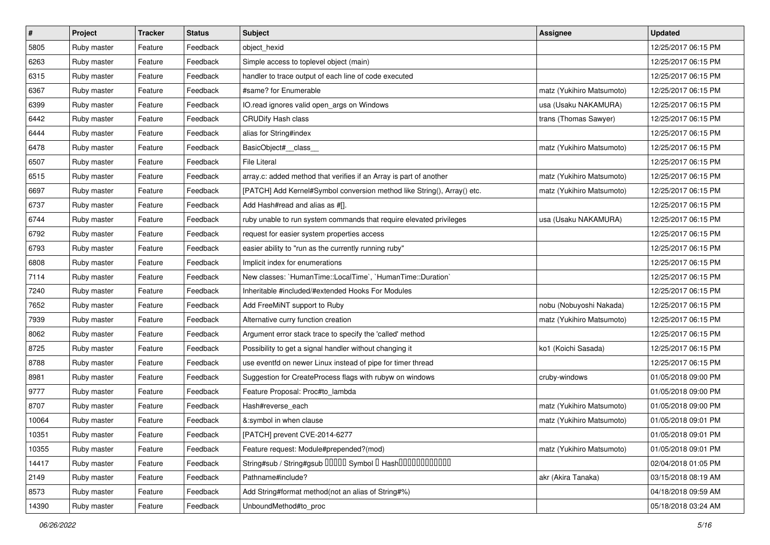| $\vert$ # | Project     | <b>Tracker</b> | <b>Status</b> | Subject                                                                 | <b>Assignee</b>           | <b>Updated</b>      |
|-----------|-------------|----------------|---------------|-------------------------------------------------------------------------|---------------------------|---------------------|
| 5805      | Ruby master | Feature        | Feedback      | object_hexid                                                            |                           | 12/25/2017 06:15 PM |
| 6263      | Ruby master | Feature        | Feedback      | Simple access to toplevel object (main)                                 |                           | 12/25/2017 06:15 PM |
| 6315      | Ruby master | Feature        | Feedback      | handler to trace output of each line of code executed                   |                           | 12/25/2017 06:15 PM |
| 6367      | Ruby master | Feature        | Feedback      | #same? for Enumerable                                                   | matz (Yukihiro Matsumoto) | 12/25/2017 06:15 PM |
| 6399      | Ruby master | Feature        | Feedback      | IO.read ignores valid open_args on Windows                              | usa (Usaku NAKAMURA)      | 12/25/2017 06:15 PM |
| 6442      | Ruby master | Feature        | Feedback      | <b>CRUDify Hash class</b>                                               | trans (Thomas Sawyer)     | 12/25/2017 06:15 PM |
| 6444      | Ruby master | Feature        | Feedback      | alias for String#index                                                  |                           | 12/25/2017 06:15 PM |
| 6478      | Ruby master | Feature        | Feedback      | BasicObject#_class_                                                     | matz (Yukihiro Matsumoto) | 12/25/2017 06:15 PM |
| 6507      | Ruby master | Feature        | Feedback      | <b>File Literal</b>                                                     |                           | 12/25/2017 06:15 PM |
| 6515      | Ruby master | Feature        | Feedback      | array.c: added method that verifies if an Array is part of another      | matz (Yukihiro Matsumoto) | 12/25/2017 06:15 PM |
| 6697      | Ruby master | Feature        | Feedback      | [PATCH] Add Kernel#Symbol conversion method like String(), Array() etc. | matz (Yukihiro Matsumoto) | 12/25/2017 06:15 PM |
| 6737      | Ruby master | Feature        | Feedback      | Add Hash#read and alias as #[].                                         |                           | 12/25/2017 06:15 PM |
| 6744      | Ruby master | Feature        | Feedback      | ruby unable to run system commands that require elevated privileges     | usa (Usaku NAKAMURA)      | 12/25/2017 06:15 PM |
| 6792      | Ruby master | Feature        | Feedback      | request for easier system properties access                             |                           | 12/25/2017 06:15 PM |
| 6793      | Ruby master | Feature        | Feedback      | easier ability to "run as the currently running ruby"                   |                           | 12/25/2017 06:15 PM |
| 6808      | Ruby master | Feature        | Feedback      | Implicit index for enumerations                                         |                           | 12/25/2017 06:15 PM |
| 7114      | Ruby master | Feature        | Feedback      | New classes: `HumanTime::LocalTime`, `HumanTime::Duration`              |                           | 12/25/2017 06:15 PM |
| 7240      | Ruby master | Feature        | Feedback      | Inheritable #included/#extended Hooks For Modules                       |                           | 12/25/2017 06:15 PM |
| 7652      | Ruby master | Feature        | Feedback      | Add FreeMiNT support to Ruby                                            | nobu (Nobuyoshi Nakada)   | 12/25/2017 06:15 PM |
| 7939      | Ruby master | Feature        | Feedback      | Alternative curry function creation                                     | matz (Yukihiro Matsumoto) | 12/25/2017 06:15 PM |
| 8062      | Ruby master | Feature        | Feedback      | Argument error stack trace to specify the 'called' method               |                           | 12/25/2017 06:15 PM |
| 8725      | Ruby master | Feature        | Feedback      | Possibility to get a signal handler without changing it                 | ko1 (Koichi Sasada)       | 12/25/2017 06:15 PM |
| 8788      | Ruby master | Feature        | Feedback      | use eventfd on newer Linux instead of pipe for timer thread             |                           | 12/25/2017 06:15 PM |
| 8981      | Ruby master | Feature        | Feedback      | Suggestion for CreateProcess flags with rubyw on windows                | cruby-windows             | 01/05/2018 09:00 PM |
| 9777      | Ruby master | Feature        | Feedback      | Feature Proposal: Proc#to_lambda                                        |                           | 01/05/2018 09:00 PM |
| 8707      | Ruby master | Feature        | Feedback      | Hash#reverse_each                                                       | matz (Yukihiro Matsumoto) | 01/05/2018 09:00 PM |
| 10064     | Ruby master | Feature        | Feedback      | &:symbol in when clause                                                 | matz (Yukihiro Matsumoto) | 01/05/2018 09:01 PM |
| 10351     | Ruby master | Feature        | Feedback      | [PATCH] prevent CVE-2014-6277                                           |                           | 01/05/2018 09:01 PM |
| 10355     | Ruby master | Feature        | Feedback      | Feature request: Module#prepended?(mod)                                 | matz (Yukihiro Matsumoto) | 01/05/2018 09:01 PM |
| 14417     | Ruby master | Feature        | Feedback      | String#sub / String#gsub 00000 Symbol 0 Hash000000000000                |                           | 02/04/2018 01:05 PM |
| 2149      | Ruby master | Feature        | Feedback      | Pathname#include?                                                       | akr (Akira Tanaka)        | 03/15/2018 08:19 AM |
| 8573      | Ruby master | Feature        | Feedback      | Add String#format method(not an alias of String#%)                      |                           | 04/18/2018 09:59 AM |
| 14390     | Ruby master | Feature        | Feedback      | UnboundMethod#to_proc                                                   |                           | 05/18/2018 03:24 AM |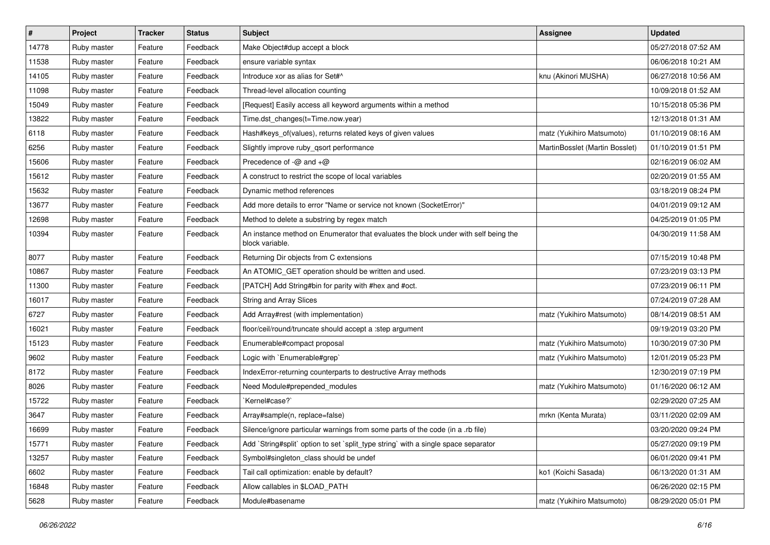| $\vert$ # | Project     | <b>Tracker</b> | <b>Status</b> | Subject                                                                                                | <b>Assignee</b>                | <b>Updated</b>      |
|-----------|-------------|----------------|---------------|--------------------------------------------------------------------------------------------------------|--------------------------------|---------------------|
| 14778     | Ruby master | Feature        | Feedback      | Make Object#dup accept a block                                                                         |                                | 05/27/2018 07:52 AM |
| 11538     | Ruby master | Feature        | Feedback      | ensure variable syntax                                                                                 |                                | 06/06/2018 10:21 AM |
| 14105     | Ruby master | Feature        | Feedback      | Introduce xor as alias for Set#^                                                                       | knu (Akinori MUSHA)            | 06/27/2018 10:56 AM |
| 11098     | Ruby master | Feature        | Feedback      | Thread-level allocation counting                                                                       |                                | 10/09/2018 01:52 AM |
| 15049     | Ruby master | Feature        | Feedback      | [Request] Easily access all keyword arguments within a method                                          |                                | 10/15/2018 05:36 PM |
| 13822     | Ruby master | Feature        | Feedback      | Time.dst_changes(t=Time.now.year)                                                                      |                                | 12/13/2018 01:31 AM |
| 6118      | Ruby master | Feature        | Feedback      | Hash#keys_of(values), returns related keys of given values                                             | matz (Yukihiro Matsumoto)      | 01/10/2019 08:16 AM |
| 6256      | Ruby master | Feature        | Feedback      | Slightly improve ruby_qsort performance                                                                | MartinBosslet (Martin Bosslet) | 01/10/2019 01:51 PM |
| 15606     | Ruby master | Feature        | Feedback      | Precedence of $-\omega$ and $+\omega$                                                                  |                                | 02/16/2019 06:02 AM |
| 15612     | Ruby master | Feature        | Feedback      | A construct to restrict the scope of local variables                                                   |                                | 02/20/2019 01:55 AM |
| 15632     | Ruby master | Feature        | Feedback      | Dynamic method references                                                                              |                                | 03/18/2019 08:24 PM |
| 13677     | Ruby master | Feature        | Feedback      | Add more details to error "Name or service not known (SocketError)"                                    |                                | 04/01/2019 09:12 AM |
| 12698     | Ruby master | Feature        | Feedback      | Method to delete a substring by regex match                                                            |                                | 04/25/2019 01:05 PM |
| 10394     | Ruby master | Feature        | Feedback      | An instance method on Enumerator that evaluates the block under with self being the<br>block variable. |                                | 04/30/2019 11:58 AM |
| 8077      | Ruby master | Feature        | Feedback      | Returning Dir objects from C extensions                                                                |                                | 07/15/2019 10:48 PM |
| 10867     | Ruby master | Feature        | Feedback      | An ATOMIC_GET operation should be written and used.                                                    |                                | 07/23/2019 03:13 PM |
| 11300     | Ruby master | Feature        | Feedback      | [PATCH] Add String#bin for parity with #hex and #oct.                                                  |                                | 07/23/2019 06:11 PM |
| 16017     | Ruby master | Feature        | Feedback      | <b>String and Array Slices</b>                                                                         |                                | 07/24/2019 07:28 AM |
| 6727      | Ruby master | Feature        | Feedback      | Add Array#rest (with implementation)                                                                   | matz (Yukihiro Matsumoto)      | 08/14/2019 08:51 AM |
| 16021     | Ruby master | Feature        | Feedback      | floor/ceil/round/truncate should accept a :step argument                                               |                                | 09/19/2019 03:20 PM |
| 15123     | Ruby master | Feature        | Feedback      | Enumerable#compact proposal                                                                            | matz (Yukihiro Matsumoto)      | 10/30/2019 07:30 PM |
| 9602      | Ruby master | Feature        | Feedback      | Logic with `Enumerable#grep`                                                                           | matz (Yukihiro Matsumoto)      | 12/01/2019 05:23 PM |
| 8172      | Ruby master | Feature        | Feedback      | IndexError-returning counterparts to destructive Array methods                                         |                                | 12/30/2019 07:19 PM |
| 8026      | Ruby master | Feature        | Feedback      | Need Module#prepended_modules                                                                          | matz (Yukihiro Matsumoto)      | 01/16/2020 06:12 AM |
| 15722     | Ruby master | Feature        | Feedback      | `Kernel#case?`                                                                                         |                                | 02/29/2020 07:25 AM |
| 3647      | Ruby master | Feature        | Feedback      | Array#sample(n, replace=false)                                                                         | mrkn (Kenta Murata)            | 03/11/2020 02:09 AM |
| 16699     | Ruby master | Feature        | Feedback      | Silence/ignore particular warnings from some parts of the code (in a .rb file)                         |                                | 03/20/2020 09:24 PM |
| 15771     | Ruby master | Feature        | Feedback      | Add `String#split` option to set `split_type string` with a single space separator                     |                                | 05/27/2020 09:19 PM |
| 13257     | Ruby master | Feature        | Feedback      | Symbol#singleton class should be undef                                                                 |                                | 06/01/2020 09:41 PM |
| 6602      | Ruby master | Feature        | Feedback      | Tail call optimization: enable by default?                                                             | ko1 (Koichi Sasada)            | 06/13/2020 01:31 AM |
| 16848     | Ruby master | Feature        | Feedback      | Allow callables in \$LOAD_PATH                                                                         |                                | 06/26/2020 02:15 PM |
| 5628      | Ruby master | Feature        | Feedback      | Module#basename                                                                                        | matz (Yukihiro Matsumoto)      | 08/29/2020 05:01 PM |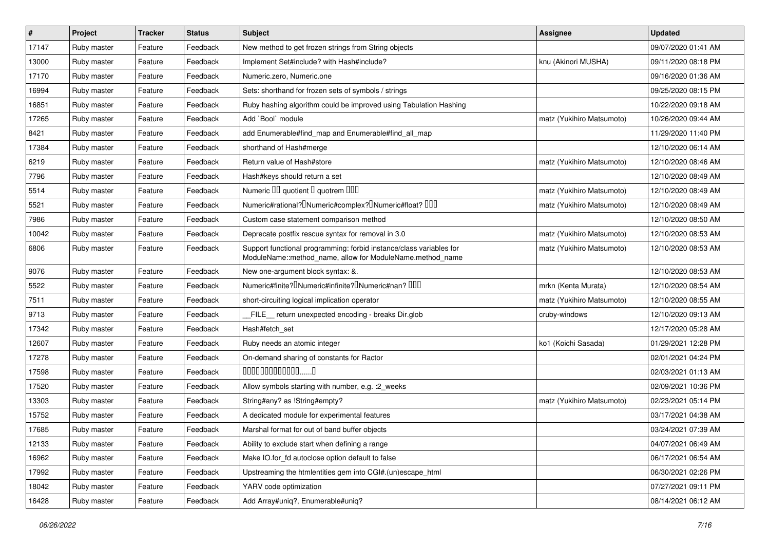| $\vert$ # | Project     | <b>Tracker</b> | <b>Status</b> | <b>Subject</b>                                                                                                                   | Assignee                  | <b>Updated</b>      |
|-----------|-------------|----------------|---------------|----------------------------------------------------------------------------------------------------------------------------------|---------------------------|---------------------|
| 17147     | Ruby master | Feature        | Feedback      | New method to get frozen strings from String objects                                                                             |                           | 09/07/2020 01:41 AM |
| 13000     | Ruby master | Feature        | Feedback      | Implement Set#include? with Hash#include?                                                                                        | knu (Akinori MUSHA)       | 09/11/2020 08:18 PM |
| 17170     | Ruby master | Feature        | Feedback      | Numeric.zero, Numeric.one                                                                                                        |                           | 09/16/2020 01:36 AM |
| 16994     | Ruby master | Feature        | Feedback      | Sets: shorthand for frozen sets of symbols / strings                                                                             |                           | 09/25/2020 08:15 PM |
| 16851     | Ruby master | Feature        | Feedback      | Ruby hashing algorithm could be improved using Tabulation Hashing                                                                |                           | 10/22/2020 09:18 AM |
| 17265     | Ruby master | Feature        | Feedback      | Add `Bool` module                                                                                                                | matz (Yukihiro Matsumoto) | 10/26/2020 09:44 AM |
| 8421      | Ruby master | Feature        | Feedback      | add Enumerable#find_map and Enumerable#find_all_map                                                                              |                           | 11/29/2020 11:40 PM |
| 17384     | Ruby master | Feature        | Feedback      | shorthand of Hash#merge                                                                                                          |                           | 12/10/2020 06:14 AM |
| 6219      | Ruby master | Feature        | Feedback      | Return value of Hash#store                                                                                                       | matz (Yukihiro Matsumoto) | 12/10/2020 08:46 AM |
| 7796      | Ruby master | Feature        | Feedback      | Hash#keys should return a set                                                                                                    |                           | 12/10/2020 08:49 AM |
| 5514      | Ruby master | Feature        | Feedback      | Numeric III quotient I quotrem IIII                                                                                              | matz (Yukihiro Matsumoto) | 12/10/2020 08:49 AM |
| 5521      | Ruby master | Feature        | Feedback      | Numeric#rational? <sup>[</sup> Numeric#complex? <sup>[</sup> Numeric#float? <sup>[10]</sup>                                      | matz (Yukihiro Matsumoto) | 12/10/2020 08:49 AM |
| 7986      | Ruby master | Feature        | Feedback      | Custom case statement comparison method                                                                                          |                           | 12/10/2020 08:50 AM |
| 10042     | Ruby master | Feature        | Feedback      | Deprecate postfix rescue syntax for removal in 3.0                                                                               | matz (Yukihiro Matsumoto) | 12/10/2020 08:53 AM |
| 6806      | Ruby master | Feature        | Feedback      | Support functional programming: forbid instance/class variables for<br>ModuleName::method_name, allow for ModuleName.method_name | matz (Yukihiro Matsumoto) | 12/10/2020 08:53 AM |
| 9076      | Ruby master | Feature        | Feedback      | New one-argument block syntax: &.                                                                                                |                           | 12/10/2020 08:53 AM |
| 5522      | Ruby master | Feature        | Feedback      | Numeric#finite? <sup>[]</sup> Numeric#infinite? <sup>[]</sup> Numeric#nan? <sup>[10]</sup>                                       | mrkn (Kenta Murata)       | 12/10/2020 08:54 AM |
| 7511      | Ruby master | Feature        | Feedback      | short-circuiting logical implication operator                                                                                    | matz (Yukihiro Matsumoto) | 12/10/2020 08:55 AM |
| 9713      | Ruby master | Feature        | Feedback      | FILE_ return unexpected encoding - breaks Dir.glob                                                                               | cruby-windows             | 12/10/2020 09:13 AM |
| 17342     | Ruby master | Feature        | Feedback      | Hash#fetch_set                                                                                                                   |                           | 12/17/2020 05:28 AM |
| 12607     | Ruby master | Feature        | Feedback      | Ruby needs an atomic integer                                                                                                     | ko1 (Koichi Sasada)       | 01/29/2021 12:28 PM |
| 17278     | Ruby master | Feature        | Feedback      | On-demand sharing of constants for Ractor                                                                                        |                           | 02/01/2021 04:24 PM |
| 17598     | Ruby master | Feature        | Feedback      | 00000000000000                                                                                                                   |                           | 02/03/2021 01:13 AM |
| 17520     | Ruby master | Feature        | Feedback      | Allow symbols starting with number, e.g. : 2_weeks                                                                               |                           | 02/09/2021 10:36 PM |
| 13303     | Ruby master | Feature        | Feedback      | String#any? as !String#empty?                                                                                                    | matz (Yukihiro Matsumoto) | 02/23/2021 05:14 PM |
| 15752     | Ruby master | Feature        | Feedback      | A dedicated module for experimental features                                                                                     |                           | 03/17/2021 04:38 AM |
| 17685     | Ruby master | Feature        | Feedback      | Marshal format for out of band buffer objects                                                                                    |                           | 03/24/2021 07:39 AM |
| 12133     | Ruby master | Feature        | Feedback      | Ability to exclude start when defining a range                                                                                   |                           | 04/07/2021 06:49 AM |
| 16962     | Ruby master | Feature        | Feedback      | Make IO.for_fd autoclose option default to false                                                                                 |                           | 06/17/2021 06:54 AM |
| 17992     | Ruby master | Feature        | Feedback      | Upstreaming the htmlentities gem into CGI#.(un)escape_html                                                                       |                           | 06/30/2021 02:26 PM |
| 18042     | Ruby master | Feature        | Feedback      | YARV code optimization                                                                                                           |                           | 07/27/2021 09:11 PM |
| 16428     | Ruby master | Feature        | Feedback      | Add Array#uniq?, Enumerable#uniq?                                                                                                |                           | 08/14/2021 06:12 AM |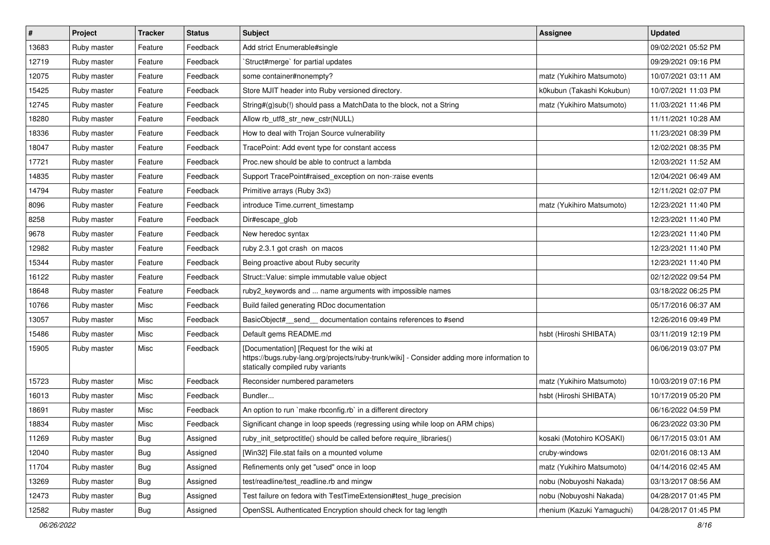| $\vert$ # | Project     | <b>Tracker</b> | <b>Status</b> | <b>Subject</b>                                                                                                                                                              | <b>Assignee</b>            | <b>Updated</b>      |
|-----------|-------------|----------------|---------------|-----------------------------------------------------------------------------------------------------------------------------------------------------------------------------|----------------------------|---------------------|
| 13683     | Ruby master | Feature        | Feedback      | Add strict Enumerable#single                                                                                                                                                |                            | 09/02/2021 05:52 PM |
| 12719     | Ruby master | Feature        | Feedback      | 'Struct#merge' for partial updates                                                                                                                                          |                            | 09/29/2021 09:16 PM |
| 12075     | Ruby master | Feature        | Feedback      | some container#nonempty?                                                                                                                                                    | matz (Yukihiro Matsumoto)  | 10/07/2021 03:11 AM |
| 15425     | Ruby master | Feature        | Feedback      | Store MJIT header into Ruby versioned directory.                                                                                                                            | k0kubun (Takashi Kokubun)  | 10/07/2021 11:03 PM |
| 12745     | Ruby master | Feature        | Feedback      | String#(g)sub(!) should pass a MatchData to the block, not a String                                                                                                         | matz (Yukihiro Matsumoto)  | 11/03/2021 11:46 PM |
| 18280     | Ruby master | Feature        | Feedback      | Allow rb utf8 str new cstr(NULL)                                                                                                                                            |                            | 11/11/2021 10:28 AM |
| 18336     | Ruby master | Feature        | Feedback      | How to deal with Trojan Source vulnerability                                                                                                                                |                            | 11/23/2021 08:39 PM |
| 18047     | Ruby master | Feature        | Feedback      | TracePoint: Add event type for constant access                                                                                                                              |                            | 12/02/2021 08:35 PM |
| 17721     | Ruby master | Feature        | Feedback      | Proc.new should be able to contruct a lambda                                                                                                                                |                            | 12/03/2021 11:52 AM |
| 14835     | Ruby master | Feature        | Feedback      | Support TracePoint#raised_exception on non-:raise events                                                                                                                    |                            | 12/04/2021 06:49 AM |
| 14794     | Ruby master | Feature        | Feedback      | Primitive arrays (Ruby 3x3)                                                                                                                                                 |                            | 12/11/2021 02:07 PM |
| 8096      | Ruby master | Feature        | Feedback      | introduce Time.current timestamp                                                                                                                                            | matz (Yukihiro Matsumoto)  | 12/23/2021 11:40 PM |
| 8258      | Ruby master | Feature        | Feedback      | Dir#escape_glob                                                                                                                                                             |                            | 12/23/2021 11:40 PM |
| 9678      | Ruby master | Feature        | Feedback      | New heredoc syntax                                                                                                                                                          |                            | 12/23/2021 11:40 PM |
| 12982     | Ruby master | Feature        | Feedback      | ruby 2.3.1 got crash on macos                                                                                                                                               |                            | 12/23/2021 11:40 PM |
| 15344     | Ruby master | Feature        | Feedback      | Being proactive about Ruby security                                                                                                                                         |                            | 12/23/2021 11:40 PM |
| 16122     | Ruby master | Feature        | Feedback      | Struct::Value: simple immutable value object                                                                                                                                |                            | 02/12/2022 09:54 PM |
| 18648     | Ruby master | Feature        | Feedback      | ruby2_keywords and  name arguments with impossible names                                                                                                                    |                            | 03/18/2022 06:25 PM |
| 10766     | Ruby master | Misc           | Feedback      | Build failed generating RDoc documentation                                                                                                                                  |                            | 05/17/2016 06:37 AM |
| 13057     | Ruby master | Misc           | Feedback      | BasicObject#_send_ documentation contains references to #send                                                                                                               |                            | 12/26/2016 09:49 PM |
| 15486     | Ruby master | Misc           | Feedback      | Default gems README.md                                                                                                                                                      | hsbt (Hiroshi SHIBATA)     | 03/11/2019 12:19 PM |
| 15905     | Ruby master | Misc           | Feedback      | [Documentation] [Request for the wiki at<br>https://bugs.ruby-lang.org/projects/ruby-trunk/wiki] - Consider adding more information to<br>statically compiled ruby variants |                            | 06/06/2019 03:07 PM |
| 15723     | Ruby master | Misc           | Feedback      | Reconsider numbered parameters                                                                                                                                              | matz (Yukihiro Matsumoto)  | 10/03/2019 07:16 PM |
| 16013     | Ruby master | Misc           | Feedback      | Bundler                                                                                                                                                                     | hsbt (Hiroshi SHIBATA)     | 10/17/2019 05:20 PM |
| 18691     | Ruby master | Misc           | Feedback      | An option to run `make rbconfig.rb` in a different directory                                                                                                                |                            | 06/16/2022 04:59 PM |
| 18834     | Ruby master | Misc           | Feedback      | Significant change in loop speeds (regressing using while loop on ARM chips)                                                                                                |                            | 06/23/2022 03:30 PM |
| 11269     | Ruby master | Bug            | Assigned      | ruby_init_setproctitle() should be called before require_libraries()                                                                                                        | kosaki (Motohiro KOSAKI)   | 06/17/2015 03:01 AM |
| 12040     | Ruby master | <b>Bug</b>     | Assigned      | [Win32] File.stat fails on a mounted volume                                                                                                                                 | cruby-windows              | 02/01/2016 08:13 AM |
| 11704     | Ruby master | <b>Bug</b>     | Assigned      | Refinements only get "used" once in loop                                                                                                                                    | matz (Yukihiro Matsumoto)  | 04/14/2016 02:45 AM |
| 13269     | Ruby master | Bug            | Assigned      | test/readline/test_readline.rb and mingw                                                                                                                                    | nobu (Nobuyoshi Nakada)    | 03/13/2017 08:56 AM |
| 12473     | Ruby master | Bug            | Assigned      | Test failure on fedora with TestTimeExtension#test_huge_precision                                                                                                           | nobu (Nobuyoshi Nakada)    | 04/28/2017 01:45 PM |
| 12582     | Ruby master | <b>Bug</b>     | Assigned      | OpenSSL Authenticated Encryption should check for tag length                                                                                                                | rhenium (Kazuki Yamaguchi) | 04/28/2017 01:45 PM |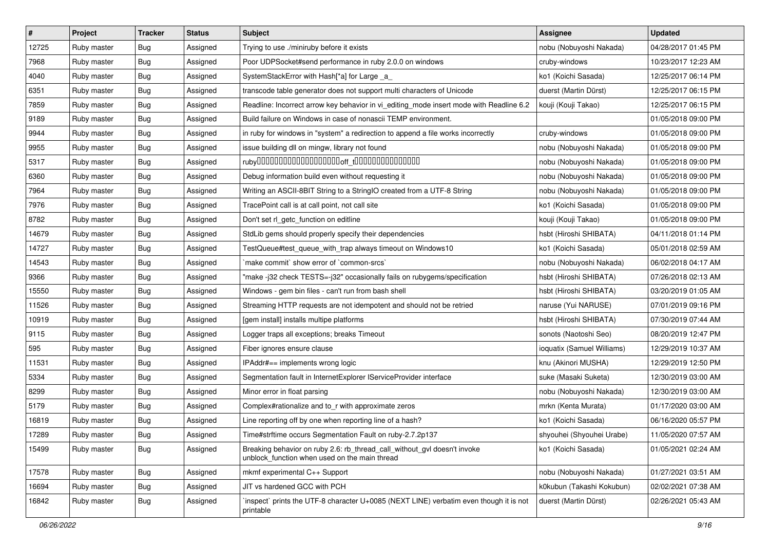| #     | Project     | <b>Tracker</b> | <b>Status</b> | Subject                                                                                                                   | <b>Assignee</b>            | <b>Updated</b>      |
|-------|-------------|----------------|---------------|---------------------------------------------------------------------------------------------------------------------------|----------------------------|---------------------|
| 12725 | Ruby master | <b>Bug</b>     | Assigned      | Trying to use ./miniruby before it exists                                                                                 | nobu (Nobuyoshi Nakada)    | 04/28/2017 01:45 PM |
| 7968  | Ruby master | Bug            | Assigned      | Poor UDPSocket#send performance in ruby 2.0.0 on windows                                                                  | cruby-windows              | 10/23/2017 12:23 AM |
| 4040  | Ruby master | Bug            | Assigned      | SystemStackError with Hash[*a] for Large _a_                                                                              | ko1 (Koichi Sasada)        | 12/25/2017 06:14 PM |
| 6351  | Ruby master | Bug            | Assigned      | transcode table generator does not support multi characters of Unicode                                                    | duerst (Martin Dürst)      | 12/25/2017 06:15 PM |
| 7859  | Ruby master | Bug            | Assigned      | Readline: Incorrect arrow key behavior in vi_editing_mode insert mode with Readline 6.2                                   | kouji (Kouji Takao)        | 12/25/2017 06:15 PM |
| 9189  | Ruby master | <b>Bug</b>     | Assigned      | Build failure on Windows in case of nonascii TEMP environment.                                                            |                            | 01/05/2018 09:00 PM |
| 9944  | Ruby master | Bug            | Assigned      | in ruby for windows in "system" a redirection to append a file works incorrectly                                          | cruby-windows              | 01/05/2018 09:00 PM |
| 9955  | Ruby master | <b>Bug</b>     | Assigned      | issue building dll on mingw, library not found                                                                            | nobu (Nobuyoshi Nakada)    | 01/05/2018 09:00 PM |
| 5317  | Ruby master | <b>Bug</b>     | Assigned      |                                                                                                                           | nobu (Nobuyoshi Nakada)    | 01/05/2018 09:00 PM |
| 6360  | Ruby master | <b>Bug</b>     | Assigned      | Debug information build even without requesting it                                                                        | nobu (Nobuyoshi Nakada)    | 01/05/2018 09:00 PM |
| 7964  | Ruby master | <b>Bug</b>     | Assigned      | Writing an ASCII-8BIT String to a StringIO created from a UTF-8 String                                                    | nobu (Nobuyoshi Nakada)    | 01/05/2018 09:00 PM |
| 7976  | Ruby master | Bug            | Assigned      | TracePoint call is at call point, not call site                                                                           | ko1 (Koichi Sasada)        | 01/05/2018 09:00 PM |
| 8782  | Ruby master | <b>Bug</b>     | Assigned      | Don't set rl_getc_function on editline                                                                                    | kouji (Kouji Takao)        | 01/05/2018 09:00 PM |
| 14679 | Ruby master | <b>Bug</b>     | Assigned      | StdLib gems should properly specify their dependencies                                                                    | hsbt (Hiroshi SHIBATA)     | 04/11/2018 01:14 PM |
| 14727 | Ruby master | Bug            | Assigned      | TestQueue#test_queue_with_trap always timeout on Windows10                                                                | ko1 (Koichi Sasada)        | 05/01/2018 02:59 AM |
| 14543 | Ruby master | Bug            | Assigned      | 'make commit' show error of 'common-srcs'                                                                                 | nobu (Nobuyoshi Nakada)    | 06/02/2018 04:17 AM |
| 9366  | Ruby master | <b>Bug</b>     | Assigned      | "make -j32 check TESTS=-j32" occasionally fails on rubygems/specification                                                 | hsbt (Hiroshi SHIBATA)     | 07/26/2018 02:13 AM |
| 15550 | Ruby master | <b>Bug</b>     | Assigned      | Windows - gem bin files - can't run from bash shell                                                                       | hsbt (Hiroshi SHIBATA)     | 03/20/2019 01:05 AM |
| 11526 | Ruby master | Bug            | Assigned      | Streaming HTTP requests are not idempotent and should not be retried                                                      | naruse (Yui NARUSE)        | 07/01/2019 09:16 PM |
| 10919 | Ruby master | Bug            | Assigned      | [gem install] installs multipe platforms                                                                                  | hsbt (Hiroshi SHIBATA)     | 07/30/2019 07:44 AM |
| 9115  | Ruby master | Bug            | Assigned      | Logger traps all exceptions; breaks Timeout                                                                               | sonots (Naotoshi Seo)      | 08/20/2019 12:47 PM |
| 595   | Ruby master | <b>Bug</b>     | Assigned      | Fiber ignores ensure clause                                                                                               | ioquatix (Samuel Williams) | 12/29/2019 10:37 AM |
| 11531 | Ruby master | Bug            | Assigned      | IPAddr#== implements wrong logic                                                                                          | knu (Akinori MUSHA)        | 12/29/2019 12:50 PM |
| 5334  | Ruby master | Bug            | Assigned      | Segmentation fault in InternetExplorer IServiceProvider interface                                                         | suke (Masaki Suketa)       | 12/30/2019 03:00 AM |
| 8299  | Ruby master | Bug            | Assigned      | Minor error in float parsing                                                                                              | nobu (Nobuyoshi Nakada)    | 12/30/2019 03:00 AM |
| 5179  | Ruby master | Bug            | Assigned      | Complex#rationalize and to_r with approximate zeros                                                                       | mrkn (Kenta Murata)        | 01/17/2020 03:00 AM |
| 16819 | Ruby master | Bug            | Assigned      | Line reporting off by one when reporting line of a hash?                                                                  | ko1 (Koichi Sasada)        | 06/16/2020 05:57 PM |
| 17289 | Ruby master | <b>Bug</b>     | Assigned      | Time#strftime occurs Segmentation Fault on ruby-2.7.2p137                                                                 | shyouhei (Shyouhei Urabe)  | 11/05/2020 07:57 AM |
| 15499 | Ruby master | Bug            | Assigned      | Breaking behavior on ruby 2.6: rb_thread_call_without_gvl doesn't invoke<br>unblock_function when used on the main thread | ko1 (Koichi Sasada)        | 01/05/2021 02:24 AM |
| 17578 | Ruby master | <b>Bug</b>     | Assigned      | mkmf experimental C++ Support                                                                                             | nobu (Nobuyoshi Nakada)    | 01/27/2021 03:51 AM |
| 16694 | Ruby master | Bug            | Assigned      | JIT vs hardened GCC with PCH                                                                                              | k0kubun (Takashi Kokubun)  | 02/02/2021 07:38 AM |
| 16842 | Ruby master | <b>Bug</b>     | Assigned      | inspect` prints the UTF-8 character U+0085 (NEXT LINE) verbatim even though it is not<br>printable                        | duerst (Martin Dürst)      | 02/26/2021 05:43 AM |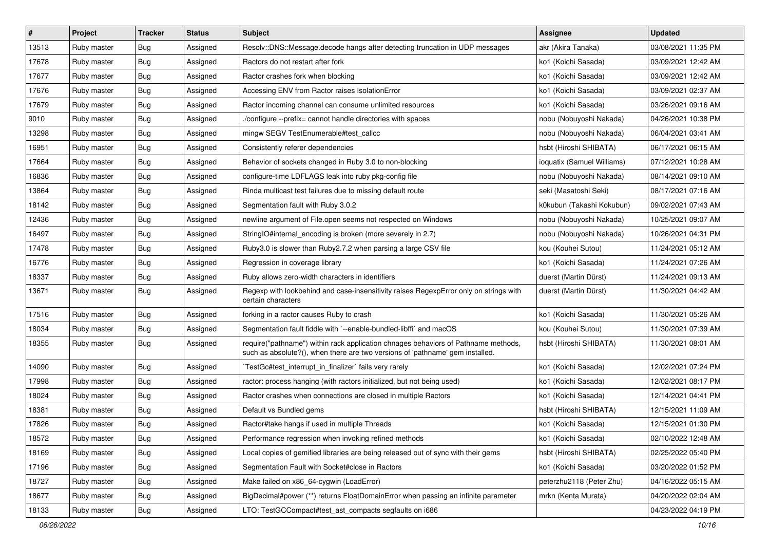| $\vert$ # | Project     | <b>Tracker</b> | <b>Status</b> | Subject                                                                                                                                                             | <b>Assignee</b>            | <b>Updated</b>      |
|-----------|-------------|----------------|---------------|---------------------------------------------------------------------------------------------------------------------------------------------------------------------|----------------------------|---------------------|
| 13513     | Ruby master | Bug            | Assigned      | Resolv::DNS::Message.decode hangs after detecting truncation in UDP messages                                                                                        | akr (Akira Tanaka)         | 03/08/2021 11:35 PM |
| 17678     | Ruby master | Bug            | Assigned      | Ractors do not restart after fork                                                                                                                                   | ko1 (Koichi Sasada)        | 03/09/2021 12:42 AM |
| 17677     | Ruby master | Bug            | Assigned      | Ractor crashes fork when blocking                                                                                                                                   | ko1 (Koichi Sasada)        | 03/09/2021 12:42 AM |
| 17676     | Ruby master | Bug            | Assigned      | Accessing ENV from Ractor raises IsolationError                                                                                                                     | ko1 (Koichi Sasada)        | 03/09/2021 02:37 AM |
| 17679     | Ruby master | Bug            | Assigned      | Ractor incoming channel can consume unlimited resources                                                                                                             | ko1 (Koichi Sasada)        | 03/26/2021 09:16 AM |
| 9010      | Ruby master | <b>Bug</b>     | Assigned      | /configure --prefix= cannot handle directories with spaces                                                                                                          | nobu (Nobuyoshi Nakada)    | 04/26/2021 10:38 PM |
| 13298     | Ruby master | Bug            | Assigned      | mingw SEGV TestEnumerable#test_callcc                                                                                                                               | nobu (Nobuyoshi Nakada)    | 06/04/2021 03:41 AM |
| 16951     | Ruby master | <b>Bug</b>     | Assigned      | Consistently referer dependencies                                                                                                                                   | hsbt (Hiroshi SHIBATA)     | 06/17/2021 06:15 AM |
| 17664     | Ruby master | <b>Bug</b>     | Assigned      | Behavior of sockets changed in Ruby 3.0 to non-blocking                                                                                                             | ioquatix (Samuel Williams) | 07/12/2021 10:28 AM |
| 16836     | Ruby master | Bug            | Assigned      | configure-time LDFLAGS leak into ruby pkg-config file                                                                                                               | nobu (Nobuyoshi Nakada)    | 08/14/2021 09:10 AM |
| 13864     | Ruby master | Bug            | Assigned      | Rinda multicast test failures due to missing default route                                                                                                          | seki (Masatoshi Seki)      | 08/17/2021 07:16 AM |
| 18142     | Ruby master | <b>Bug</b>     | Assigned      | Segmentation fault with Ruby 3.0.2                                                                                                                                  | k0kubun (Takashi Kokubun)  | 09/02/2021 07:43 AM |
| 12436     | Ruby master | Bug            | Assigned      | newline argument of File.open seems not respected on Windows                                                                                                        | nobu (Nobuyoshi Nakada)    | 10/25/2021 09:07 AM |
| 16497     | Ruby master | <b>Bug</b>     | Assigned      | StringIO#internal encoding is broken (more severely in 2.7)                                                                                                         | nobu (Nobuyoshi Nakada)    | 10/26/2021 04:31 PM |
| 17478     | Ruby master | Bug            | Assigned      | Ruby3.0 is slower than Ruby2.7.2 when parsing a large CSV file                                                                                                      | kou (Kouhei Sutou)         | 11/24/2021 05:12 AM |
| 16776     | Ruby master | Bug            | Assigned      | Regression in coverage library                                                                                                                                      | ko1 (Koichi Sasada)        | 11/24/2021 07:26 AM |
| 18337     | Ruby master | <b>Bug</b>     | Assigned      | Ruby allows zero-width characters in identifiers                                                                                                                    | duerst (Martin Dürst)      | 11/24/2021 09:13 AM |
| 13671     | Ruby master | Bug            | Assigned      | Regexp with lookbehind and case-insensitivity raises RegexpError only on strings with<br>certain characters                                                         | duerst (Martin Dürst)      | 11/30/2021 04:42 AM |
| 17516     | Ruby master | Bug            | Assigned      | forking in a ractor causes Ruby to crash                                                                                                                            | ko1 (Koichi Sasada)        | 11/30/2021 05:26 AM |
| 18034     | Ruby master | Bug            | Assigned      | Segmentation fault fiddle with `--enable-bundled-libffi` and macOS                                                                                                  | kou (Kouhei Sutou)         | 11/30/2021 07:39 AM |
| 18355     | Ruby master | Bug            | Assigned      | require("pathname") within rack application chnages behaviors of Pathname methods,<br>such as absolute?(), when there are two versions of 'pathname' gem installed. | hsbt (Hiroshi SHIBATA)     | 11/30/2021 08:01 AM |
| 14090     | Ruby master | Bug            | Assigned      | TestGc#test interrupt in finalizer` fails very rarely                                                                                                               | ko1 (Koichi Sasada)        | 12/02/2021 07:24 PM |
| 17998     | Ruby master | <b>Bug</b>     | Assigned      | ractor: process hanging (with ractors initialized, but not being used)                                                                                              | ko1 (Koichi Sasada)        | 12/02/2021 08:17 PM |
| 18024     | Ruby master | Bug            | Assigned      | Ractor crashes when connections are closed in multiple Ractors                                                                                                      | ko1 (Koichi Sasada)        | 12/14/2021 04:41 PM |
| 18381     | Ruby master | <b>Bug</b>     | Assigned      | Default vs Bundled gems                                                                                                                                             | hsbt (Hiroshi SHIBATA)     | 12/15/2021 11:09 AM |
| 17826     | Ruby master | Bug            | Assigned      | Ractor#take hangs if used in multiple Threads                                                                                                                       | ko1 (Koichi Sasada)        | 12/15/2021 01:30 PM |
| 18572     | Ruby master | Bug            | Assigned      | Performance regression when invoking refined methods                                                                                                                | ko1 (Koichi Sasada)        | 02/10/2022 12:48 AM |
| 18169     | Ruby master | <b>Bug</b>     | Assigned      | Local copies of gemified libraries are being released out of sync with their gems                                                                                   | hsbt (Hiroshi SHIBATA)     | 02/25/2022 05:40 PM |
| 17196     | Ruby master | <b>Bug</b>     | Assigned      | Segmentation Fault with Socket#close in Ractors                                                                                                                     | ko1 (Koichi Sasada)        | 03/20/2022 01:52 PM |
| 18727     | Ruby master | Bug            | Assigned      | Make failed on x86_64-cygwin (LoadError)                                                                                                                            | peterzhu2118 (Peter Zhu)   | 04/16/2022 05:15 AM |
| 18677     | Ruby master | Bug            | Assigned      | BigDecimal#power (**) returns FloatDomainError when passing an infinite parameter                                                                                   | mrkn (Kenta Murata)        | 04/20/2022 02:04 AM |
| 18133     | Ruby master | <b>Bug</b>     | Assigned      | LTO: TestGCCompact#test_ast_compacts segfaults on i686                                                                                                              |                            | 04/23/2022 04:19 PM |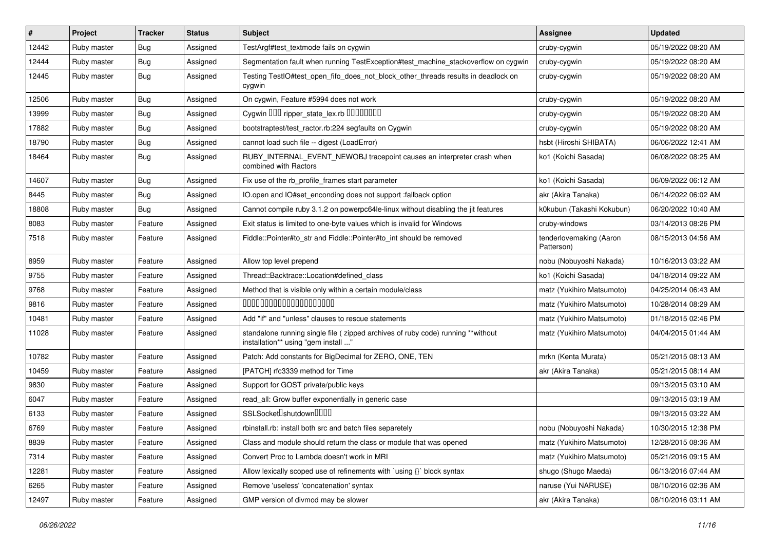| $\vert$ # | Project     | <b>Tracker</b> | <b>Status</b> | Subject                                                                                                                 | <b>Assignee</b>                       | <b>Updated</b>      |
|-----------|-------------|----------------|---------------|-------------------------------------------------------------------------------------------------------------------------|---------------------------------------|---------------------|
| 12442     | Ruby master | Bug            | Assigned      | TestArgf#test_textmode fails on cygwin                                                                                  | cruby-cygwin                          | 05/19/2022 08:20 AM |
| 12444     | Ruby master | <b>Bug</b>     | Assigned      | Segmentation fault when running TestException#test_machine_stackoverflow on cygwin                                      | cruby-cygwin                          | 05/19/2022 08:20 AM |
| 12445     | Ruby master | <b>Bug</b>     | Assigned      | Testing TestIO#test_open_fifo_does_not_block_other_threads results in deadlock on<br>cygwin                             | cruby-cygwin                          | 05/19/2022 08:20 AM |
| 12506     | Ruby master | <b>Bug</b>     | Assigned      | On cygwin, Feature #5994 does not work                                                                                  | cruby-cygwin                          | 05/19/2022 08:20 AM |
| 13999     | Ruby master | <b>Bug</b>     | Assigned      | Cygwin DDD ripper_state_lex.rb DDDDDDDD                                                                                 | cruby-cygwin                          | 05/19/2022 08:20 AM |
| 17882     | Ruby master | <b>Bug</b>     | Assigned      | bootstraptest/test_ractor.rb:224 segfaults on Cygwin                                                                    | cruby-cygwin                          | 05/19/2022 08:20 AM |
| 18790     | Ruby master | <b>Bug</b>     | Assigned      | cannot load such file -- digest (LoadError)                                                                             | hsbt (Hiroshi SHIBATA)                | 06/06/2022 12:41 AM |
| 18464     | Ruby master | <b>Bug</b>     | Assigned      | RUBY_INTERNAL_EVENT_NEWOBJ tracepoint causes an interpreter crash when<br>combined with Ractors                         | ko1 (Koichi Sasada)                   | 06/08/2022 08:25 AM |
| 14607     | Ruby master | <b>Bug</b>     | Assigned      | Fix use of the rb_profile_frames start parameter                                                                        | ko1 (Koichi Sasada)                   | 06/09/2022 06:12 AM |
| 8445      | Ruby master | <b>Bug</b>     | Assigned      | IO.open and IO#set_enconding does not support :fallback option                                                          | akr (Akira Tanaka)                    | 06/14/2022 06:02 AM |
| 18808     | Ruby master | <b>Bug</b>     | Assigned      | Cannot compile ruby 3.1.2 on powerpc64le-linux without disabling the jit features                                       | k0kubun (Takashi Kokubun)             | 06/20/2022 10:40 AM |
| 8083      | Ruby master | Feature        | Assigned      | Exit status is limited to one-byte values which is invalid for Windows                                                  | cruby-windows                         | 03/14/2013 08:26 PM |
| 7518      | Ruby master | Feature        | Assigned      | Fiddle::Pointer#to_str and Fiddle::Pointer#to_int should be removed                                                     | tenderlovemaking (Aaron<br>Patterson) | 08/15/2013 04:56 AM |
| 8959      | Ruby master | Feature        | Assigned      | Allow top level prepend                                                                                                 | nobu (Nobuyoshi Nakada)               | 10/16/2013 03:22 AM |
| 9755      | Ruby master | Feature        | Assigned      | Thread::Backtrace::Location#defined_class                                                                               | ko1 (Koichi Sasada)                   | 04/18/2014 09:22 AM |
| 9768      | Ruby master | Feature        | Assigned      | Method that is visible only within a certain module/class                                                               | matz (Yukihiro Matsumoto)             | 04/25/2014 06:43 AM |
| 9816      | Ruby master | Feature        | Assigned      | 00000000000000000000                                                                                                    | matz (Yukihiro Matsumoto)             | 10/28/2014 08:29 AM |
| 10481     | Ruby master | Feature        | Assigned      | Add "if" and "unless" clauses to rescue statements                                                                      | matz (Yukihiro Matsumoto)             | 01/18/2015 02:46 PM |
| 11028     | Ruby master | Feature        | Assigned      | standalone running single file ( zipped archives of ruby code) running **without<br>installation** using "gem install " | matz (Yukihiro Matsumoto)             | 04/04/2015 01:44 AM |
| 10782     | Ruby master | Feature        | Assigned      | Patch: Add constants for BigDecimal for ZERO, ONE, TEN                                                                  | mrkn (Kenta Murata)                   | 05/21/2015 08:13 AM |
| 10459     | Ruby master | Feature        | Assigned      | [PATCH] rfc3339 method for Time                                                                                         | akr (Akira Tanaka)                    | 05/21/2015 08:14 AM |
| 9830      | Ruby master | Feature        | Assigned      | Support for GOST private/public keys                                                                                    |                                       | 09/13/2015 03:10 AM |
| 6047      | Ruby master | Feature        | Assigned      | read_all: Grow buffer exponentially in generic case                                                                     |                                       | 09/13/2015 03:19 AM |
| 6133      | Ruby master | Feature        | Assigned      | SSLSocket <sup>[</sup> shutdown <sup>[11]</sup>                                                                         |                                       | 09/13/2015 03:22 AM |
| 6769      | Ruby master | Feature        | Assigned      | rbinstall.rb: install both src and batch files separetely                                                               | nobu (Nobuyoshi Nakada)               | 10/30/2015 12:38 PM |
| 8839      | Ruby master | Feature        | Assigned      | Class and module should return the class or module that was opened                                                      | matz (Yukihiro Matsumoto)             | 12/28/2015 08:36 AM |
| 7314      | Ruby master | Feature        | Assigned      | Convert Proc to Lambda doesn't work in MRI                                                                              | matz (Yukihiro Matsumoto)             | 05/21/2016 09:15 AM |
| 12281     | Ruby master | Feature        | Assigned      | Allow lexically scoped use of refinements with `using {}` block syntax                                                  | shugo (Shugo Maeda)                   | 06/13/2016 07:44 AM |
| 6265      | Ruby master | Feature        | Assigned      | Remove 'useless' 'concatenation' syntax                                                                                 | naruse (Yui NARUSE)                   | 08/10/2016 02:36 AM |
| 12497     | Ruby master | Feature        | Assigned      | GMP version of divmod may be slower                                                                                     | akr (Akira Tanaka)                    | 08/10/2016 03:11 AM |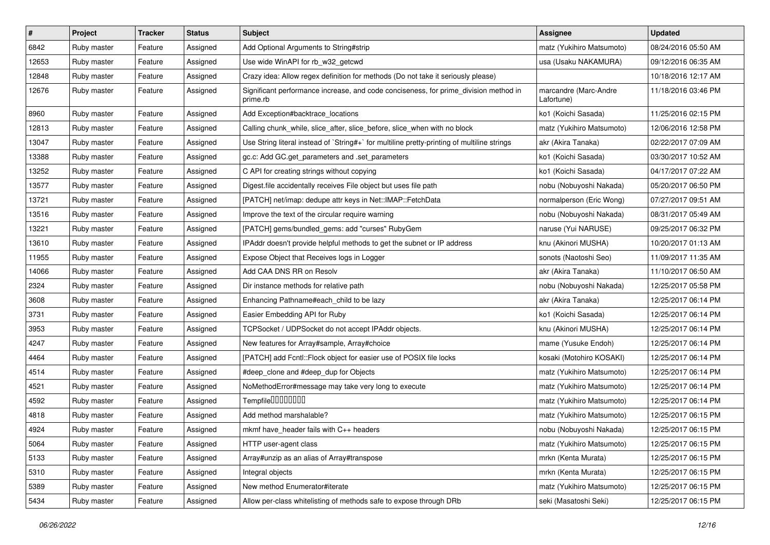| #     | <b>Project</b> | <b>Tracker</b> | <b>Status</b> | Subject                                                                                          | <b>Assignee</b>                     | <b>Updated</b>      |
|-------|----------------|----------------|---------------|--------------------------------------------------------------------------------------------------|-------------------------------------|---------------------|
| 6842  | Ruby master    | Feature        | Assigned      | Add Optional Arguments to String#strip                                                           | matz (Yukihiro Matsumoto)           | 08/24/2016 05:50 AM |
| 12653 | Ruby master    | Feature        | Assigned      | Use wide WinAPI for rb_w32_getcwd                                                                | usa (Usaku NAKAMURA)                | 09/12/2016 06:35 AM |
| 12848 | Ruby master    | Feature        | Assigned      | Crazy idea: Allow regex definition for methods (Do not take it seriously please)                 |                                     | 10/18/2016 12:17 AM |
| 12676 | Ruby master    | Feature        | Assigned      | Significant performance increase, and code conciseness, for prime_division method in<br>prime.rb | marcandre (Marc-Andre<br>Lafortune) | 11/18/2016 03:46 PM |
| 8960  | Ruby master    | Feature        | Assigned      | Add Exception#backtrace_locations                                                                | ko1 (Koichi Sasada)                 | 11/25/2016 02:15 PM |
| 12813 | Ruby master    | Feature        | Assigned      | Calling chunk_while, slice_after, slice_before, slice_when with no block                         | matz (Yukihiro Matsumoto)           | 12/06/2016 12:58 PM |
| 13047 | Ruby master    | Feature        | Assigned      | Use String literal instead of `String#+` for multiline pretty-printing of multiline strings      | akr (Akira Tanaka)                  | 02/22/2017 07:09 AM |
| 13388 | Ruby master    | Feature        | Assigned      | gc.c: Add GC.get_parameters and .set_parameters                                                  | ko1 (Koichi Sasada)                 | 03/30/2017 10:52 AM |
| 13252 | Ruby master    | Feature        | Assigned      | C API for creating strings without copying                                                       | ko1 (Koichi Sasada)                 | 04/17/2017 07:22 AM |
| 13577 | Ruby master    | Feature        | Assigned      | Digest file accidentally receives File object but uses file path                                 | nobu (Nobuyoshi Nakada)             | 05/20/2017 06:50 PM |
| 13721 | Ruby master    | Feature        | Assigned      | [PATCH] net/imap: dedupe attr keys in Net::IMAP::FetchData                                       | normalperson (Eric Wong)            | 07/27/2017 09:51 AM |
| 13516 | Ruby master    | Feature        | Assigned      | Improve the text of the circular require warning                                                 | nobu (Nobuyoshi Nakada)             | 08/31/2017 05:49 AM |
| 13221 | Ruby master    | Feature        | Assigned      | [PATCH] gems/bundled_gems: add "curses" RubyGem                                                  | naruse (Yui NARUSE)                 | 09/25/2017 06:32 PM |
| 13610 | Ruby master    | Feature        | Assigned      | IPAddr doesn't provide helpful methods to get the subnet or IP address                           | knu (Akinori MUSHA)                 | 10/20/2017 01:13 AM |
| 11955 | Ruby master    | Feature        | Assigned      | Expose Object that Receives logs in Logger                                                       | sonots (Naotoshi Seo)               | 11/09/2017 11:35 AM |
| 14066 | Ruby master    | Feature        | Assigned      | Add CAA DNS RR on Resolv                                                                         | akr (Akira Tanaka)                  | 11/10/2017 06:50 AM |
| 2324  | Ruby master    | Feature        | Assigned      | Dir instance methods for relative path                                                           | nobu (Nobuyoshi Nakada)             | 12/25/2017 05:58 PM |
| 3608  | Ruby master    | Feature        | Assigned      | Enhancing Pathname#each_child to be lazy                                                         | akr (Akira Tanaka)                  | 12/25/2017 06:14 PM |
| 3731  | Ruby master    | Feature        | Assigned      | Easier Embedding API for Ruby                                                                    | ko1 (Koichi Sasada)                 | 12/25/2017 06:14 PM |
| 3953  | Ruby master    | Feature        | Assigned      | TCPSocket / UDPSocket do not accept IPAddr objects.                                              | knu (Akinori MUSHA)                 | 12/25/2017 06:14 PM |
| 4247  | Ruby master    | Feature        | Assigned      | New features for Array#sample, Array#choice                                                      | mame (Yusuke Endoh)                 | 12/25/2017 06:14 PM |
| 4464  | Ruby master    | Feature        | Assigned      | [PATCH] add Fcntl::Flock object for easier use of POSIX file locks                               | kosaki (Motohiro KOSAKI)            | 12/25/2017 06:14 PM |
| 4514  | Ruby master    | Feature        | Assigned      | #deep_clone and #deep_dup for Objects                                                            | matz (Yukihiro Matsumoto)           | 12/25/2017 06:14 PM |
| 4521  | Ruby master    | Feature        | Assigned      | NoMethodError#message may take very long to execute                                              | matz (Yukihiro Matsumoto)           | 12/25/2017 06:14 PM |
| 4592  | Ruby master    | Feature        | Assigned      | Tempfile0000000                                                                                  | matz (Yukihiro Matsumoto)           | 12/25/2017 06:14 PM |
| 4818  | Ruby master    | Feature        | Assigned      | Add method marshalable?                                                                          | matz (Yukihiro Matsumoto)           | 12/25/2017 06:15 PM |
| 4924  | Ruby master    | Feature        | Assigned      | mkmf have_header fails with C++ headers                                                          | nobu (Nobuyoshi Nakada)             | 12/25/2017 06:15 PM |
| 5064  | Ruby master    | Feature        | Assigned      | HTTP user-agent class                                                                            | matz (Yukihiro Matsumoto)           | 12/25/2017 06:15 PM |
| 5133  | Ruby master    | Feature        | Assigned      | Array#unzip as an alias of Array#transpose                                                       | mrkn (Kenta Murata)                 | 12/25/2017 06:15 PM |
| 5310  | Ruby master    | Feature        | Assigned      | Integral objects                                                                                 | mrkn (Kenta Murata)                 | 12/25/2017 06:15 PM |
| 5389  | Ruby master    | Feature        | Assigned      | New method Enumerator#iterate                                                                    | matz (Yukihiro Matsumoto)           | 12/25/2017 06:15 PM |
| 5434  | Ruby master    | Feature        | Assigned      | Allow per-class whitelisting of methods safe to expose through DRb                               | seki (Masatoshi Seki)               | 12/25/2017 06:15 PM |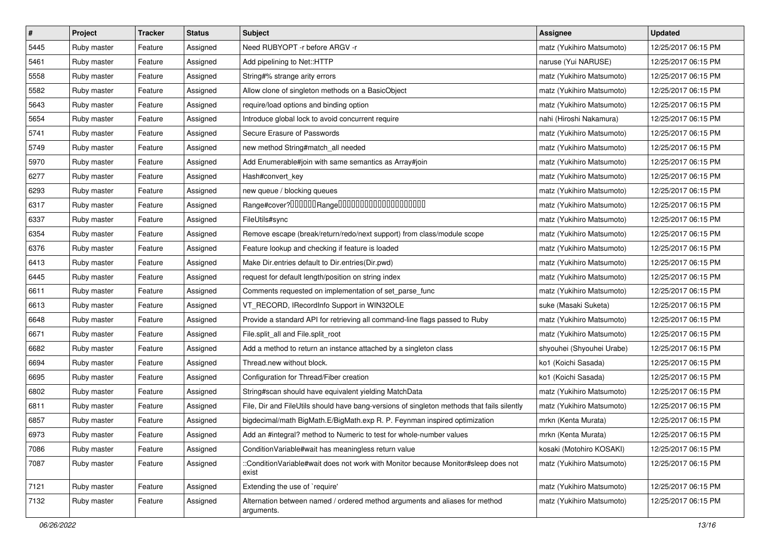| $\pmb{\#}$ | Project     | <b>Tracker</b> | <b>Status</b> | <b>Subject</b>                                                                              | <b>Assignee</b>           | <b>Updated</b>      |
|------------|-------------|----------------|---------------|---------------------------------------------------------------------------------------------|---------------------------|---------------------|
| 5445       | Ruby master | Feature        | Assigned      | Need RUBYOPT - r before ARGV - r                                                            | matz (Yukihiro Matsumoto) | 12/25/2017 06:15 PM |
| 5461       | Ruby master | Feature        | Assigned      | Add pipelining to Net::HTTP                                                                 | naruse (Yui NARUSE)       | 12/25/2017 06:15 PM |
| 5558       | Ruby master | Feature        | Assigned      | String#% strange arity errors                                                               | matz (Yukihiro Matsumoto) | 12/25/2017 06:15 PM |
| 5582       | Ruby master | Feature        | Assigned      | Allow clone of singleton methods on a BasicObject                                           | matz (Yukihiro Matsumoto) | 12/25/2017 06:15 PM |
| 5643       | Ruby master | Feature        | Assigned      | require/load options and binding option                                                     | matz (Yukihiro Matsumoto) | 12/25/2017 06:15 PM |
| 5654       | Ruby master | Feature        | Assigned      | Introduce global lock to avoid concurrent require                                           | nahi (Hiroshi Nakamura)   | 12/25/2017 06:15 PM |
| 5741       | Ruby master | Feature        | Assigned      | Secure Erasure of Passwords                                                                 | matz (Yukihiro Matsumoto) | 12/25/2017 06:15 PM |
| 5749       | Ruby master | Feature        | Assigned      | new method String#match_all needed                                                          | matz (Yukihiro Matsumoto) | 12/25/2017 06:15 PM |
| 5970       | Ruby master | Feature        | Assigned      | Add Enumerable#join with same semantics as Array#join                                       | matz (Yukihiro Matsumoto) | 12/25/2017 06:15 PM |
| 6277       | Ruby master | Feature        | Assigned      | Hash#convert_key                                                                            | matz (Yukihiro Matsumoto) | 12/25/2017 06:15 PM |
| 6293       | Ruby master | Feature        | Assigned      | new queue / blocking queues                                                                 | matz (Yukihiro Matsumoto) | 12/25/2017 06:15 PM |
| 6317       | Ruby master | Feature        | Assigned      | Range#cover?000000Range00000000000000000000                                                 | matz (Yukihiro Matsumoto) | 12/25/2017 06:15 PM |
| 6337       | Ruby master | Feature        | Assigned      | FileUtils#sync                                                                              | matz (Yukihiro Matsumoto) | 12/25/2017 06:15 PM |
| 6354       | Ruby master | Feature        | Assigned      | Remove escape (break/return/redo/next support) from class/module scope                      | matz (Yukihiro Matsumoto) | 12/25/2017 06:15 PM |
| 6376       | Ruby master | Feature        | Assigned      | Feature lookup and checking if feature is loaded                                            | matz (Yukihiro Matsumoto) | 12/25/2017 06:15 PM |
| 6413       | Ruby master | Feature        | Assigned      | Make Dir.entries default to Dir.entries(Dir.pwd)                                            | matz (Yukihiro Matsumoto) | 12/25/2017 06:15 PM |
| 6445       | Ruby master | Feature        | Assigned      | request for default length/position on string index                                         | matz (Yukihiro Matsumoto) | 12/25/2017 06:15 PM |
| 6611       | Ruby master | Feature        | Assigned      | Comments requested on implementation of set_parse_func                                      | matz (Yukihiro Matsumoto) | 12/25/2017 06:15 PM |
| 6613       | Ruby master | Feature        | Assigned      | VT_RECORD, IRecordInfo Support in WIN32OLE                                                  | suke (Masaki Suketa)      | 12/25/2017 06:15 PM |
| 6648       | Ruby master | Feature        | Assigned      | Provide a standard API for retrieving all command-line flags passed to Ruby                 | matz (Yukihiro Matsumoto) | 12/25/2017 06:15 PM |
| 6671       | Ruby master | Feature        | Assigned      | File.split_all and File.split_root                                                          | matz (Yukihiro Matsumoto) | 12/25/2017 06:15 PM |
| 6682       | Ruby master | Feature        | Assigned      | Add a method to return an instance attached by a singleton class                            | shyouhei (Shyouhei Urabe) | 12/25/2017 06:15 PM |
| 6694       | Ruby master | Feature        | Assigned      | Thread.new without block.                                                                   | ko1 (Koichi Sasada)       | 12/25/2017 06:15 PM |
| 6695       | Ruby master | Feature        | Assigned      | Configuration for Thread/Fiber creation                                                     | ko1 (Koichi Sasada)       | 12/25/2017 06:15 PM |
| 6802       | Ruby master | Feature        | Assigned      | String#scan should have equivalent yielding MatchData                                       | matz (Yukihiro Matsumoto) | 12/25/2017 06:15 PM |
| 6811       | Ruby master | Feature        | Assigned      | File, Dir and FileUtils should have bang-versions of singleton methods that fails silently  | matz (Yukihiro Matsumoto) | 12/25/2017 06:15 PM |
| 6857       | Ruby master | Feature        | Assigned      | bigdecimal/math BigMath.E/BigMath.exp R. P. Feynman inspired optimization                   | mrkn (Kenta Murata)       | 12/25/2017 06:15 PM |
| 6973       | Ruby master | Feature        | Assigned      | Add an #integral? method to Numeric to test for whole-number values                         | mrkn (Kenta Murata)       | 12/25/2017 06:15 PM |
| 7086       | Ruby master | Feature        | Assigned      | Condition Variable#wait has meaningless return value                                        | kosaki (Motohiro KOSAKI)  | 12/25/2017 06:15 PM |
| 7087       | Ruby master | Feature        | Assigned      | ::ConditionVariable#wait does not work with Monitor because Monitor#sleep does not<br>exist | matz (Yukihiro Matsumoto) | 12/25/2017 06:15 PM |
| 7121       | Ruby master | Feature        | Assigned      | Extending the use of `require'                                                              | matz (Yukihiro Matsumoto) | 12/25/2017 06:15 PM |
| 7132       | Ruby master | Feature        | Assigned      | Alternation between named / ordered method arguments and aliases for method<br>arguments.   | matz (Yukihiro Matsumoto) | 12/25/2017 06:15 PM |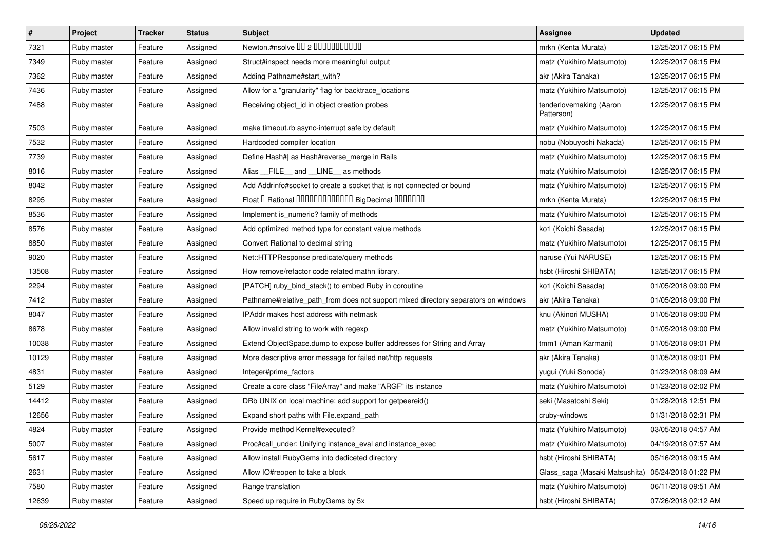| #     | Project     | <b>Tracker</b> | <b>Status</b> | Subject                                                                            | <b>Assignee</b>                       | <b>Updated</b>      |
|-------|-------------|----------------|---------------|------------------------------------------------------------------------------------|---------------------------------------|---------------------|
| 7321  | Ruby master | Feature        | Assigned      | Newton.#nsolve 00 2 0000000000                                                     | mrkn (Kenta Murata)                   | 12/25/2017 06:15 PM |
| 7349  | Ruby master | Feature        | Assigned      | Struct#inspect needs more meaningful output                                        | matz (Yukihiro Matsumoto)             | 12/25/2017 06:15 PM |
| 7362  | Ruby master | Feature        | Assigned      | Adding Pathname#start_with?                                                        | akr (Akira Tanaka)                    | 12/25/2017 06:15 PM |
| 7436  | Ruby master | Feature        | Assigned      | Allow for a "granularity" flag for backtrace_locations                             | matz (Yukihiro Matsumoto)             | 12/25/2017 06:15 PM |
| 7488  | Ruby master | Feature        | Assigned      | Receiving object_id in object creation probes                                      | tenderlovemaking (Aaron<br>Patterson) | 12/25/2017 06:15 PM |
| 7503  | Ruby master | Feature        | Assigned      | make timeout.rb async-interrupt safe by default                                    | matz (Yukihiro Matsumoto)             | 12/25/2017 06:15 PM |
| 7532  | Ruby master | Feature        | Assigned      | Hardcoded compiler location                                                        | nobu (Nobuyoshi Nakada)               | 12/25/2017 06:15 PM |
| 7739  | Ruby master | Feature        | Assigned      | Define Hash#  as Hash#reverse_merge in Rails                                       | matz (Yukihiro Matsumoto)             | 12/25/2017 06:15 PM |
| 8016  | Ruby master | Feature        | Assigned      | Alias FILE and LINE as methods                                                     | matz (Yukihiro Matsumoto)             | 12/25/2017 06:15 PM |
| 8042  | Ruby master | Feature        | Assigned      | Add Addrinfo#socket to create a socket that is not connected or bound              | matz (Yukihiro Matsumoto)             | 12/25/2017 06:15 PM |
| 8295  | Ruby master | Feature        | Assigned      | Float I Rational 0000000000000 BigDecimal 0000000                                  | mrkn (Kenta Murata)                   | 12/25/2017 06:15 PM |
| 8536  | Ruby master | Feature        | Assigned      | Implement is_numeric? family of methods                                            | matz (Yukihiro Matsumoto)             | 12/25/2017 06:15 PM |
| 8576  | Ruby master | Feature        | Assigned      | Add optimized method type for constant value methods                               | ko1 (Koichi Sasada)                   | 12/25/2017 06:15 PM |
| 8850  | Ruby master | Feature        | Assigned      | Convert Rational to decimal string                                                 | matz (Yukihiro Matsumoto)             | 12/25/2017 06:15 PM |
| 9020  | Ruby master | Feature        | Assigned      | Net::HTTPResponse predicate/query methods                                          | naruse (Yui NARUSE)                   | 12/25/2017 06:15 PM |
| 13508 | Ruby master | Feature        | Assigned      | How remove/refactor code related mathn library.                                    | hsbt (Hiroshi SHIBATA)                | 12/25/2017 06:15 PM |
| 2294  | Ruby master | Feature        | Assigned      | [PATCH] ruby_bind_stack() to embed Ruby in coroutine                               | ko1 (Koichi Sasada)                   | 01/05/2018 09:00 PM |
| 7412  | Ruby master | Feature        | Assigned      | Pathname#relative_path_from does not support mixed directory separators on windows | akr (Akira Tanaka)                    | 01/05/2018 09:00 PM |
| 8047  | Ruby master | Feature        | Assigned      | IPAddr makes host address with netmask                                             | knu (Akinori MUSHA)                   | 01/05/2018 09:00 PM |
| 8678  | Ruby master | Feature        | Assigned      | Allow invalid string to work with regexp                                           | matz (Yukihiro Matsumoto)             | 01/05/2018 09:00 PM |
| 10038 | Ruby master | Feature        | Assigned      | Extend ObjectSpace.dump to expose buffer addresses for String and Array            | tmm1 (Aman Karmani)                   | 01/05/2018 09:01 PM |
| 10129 | Ruby master | Feature        | Assigned      | More descriptive error message for failed net/http requests                        | akr (Akira Tanaka)                    | 01/05/2018 09:01 PM |
| 4831  | Ruby master | Feature        | Assigned      | Integer#prime_factors                                                              | yugui (Yuki Sonoda)                   | 01/23/2018 08:09 AM |
| 5129  | Ruby master | Feature        | Assigned      | Create a core class "FileArray" and make "ARGF" its instance                       | matz (Yukihiro Matsumoto)             | 01/23/2018 02:02 PM |
| 14412 | Ruby master | Feature        | Assigned      | DRb UNIX on local machine: add support for getpeereid()                            | seki (Masatoshi Seki)                 | 01/28/2018 12:51 PM |
| 12656 | Ruby master | Feature        | Assigned      | Expand short paths with File.expand path                                           | cruby-windows                         | 01/31/2018 02:31 PM |
| 4824  | Ruby master | Feature        | Assigned      | Provide method Kernel#executed?                                                    | matz (Yukihiro Matsumoto)             | 03/05/2018 04:57 AM |
| 5007  | Ruby master | Feature        | Assigned      | Proc#call_under: Unifying instance_eval and instance_exec                          | matz (Yukihiro Matsumoto)             | 04/19/2018 07:57 AM |
| 5617  | Ruby master | Feature        | Assigned      | Allow install RubyGems into dediceted directory                                    | hsbt (Hiroshi SHIBATA)                | 05/16/2018 09:15 AM |
| 2631  | Ruby master | Feature        | Assigned      | Allow IO#reopen to take a block                                                    | Glass_saga (Masaki Matsushita)        | 05/24/2018 01:22 PM |
| 7580  | Ruby master | Feature        | Assigned      | Range translation                                                                  | matz (Yukihiro Matsumoto)             | 06/11/2018 09:51 AM |
| 12639 | Ruby master | Feature        | Assigned      | Speed up require in RubyGems by 5x                                                 | hsbt (Hiroshi SHIBATA)                | 07/26/2018 02:12 AM |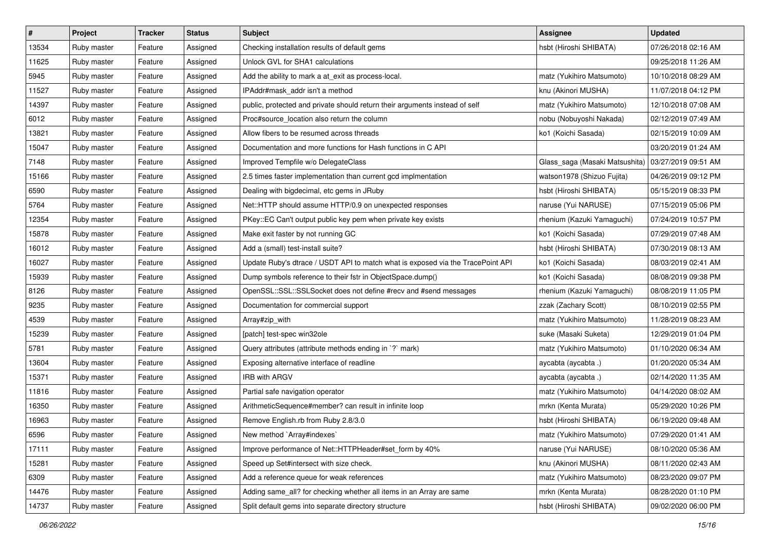| $\vert$ # | Project     | <b>Tracker</b> | <b>Status</b> | <b>Subject</b>                                                                  | <b>Assignee</b>                | <b>Updated</b>      |
|-----------|-------------|----------------|---------------|---------------------------------------------------------------------------------|--------------------------------|---------------------|
| 13534     | Ruby master | Feature        | Assigned      | Checking installation results of default gems                                   | hsbt (Hiroshi SHIBATA)         | 07/26/2018 02:16 AM |
| 11625     | Ruby master | Feature        | Assigned      | Unlock GVL for SHA1 calculations                                                |                                | 09/25/2018 11:26 AM |
| 5945      | Ruby master | Feature        | Assigned      | Add the ability to mark a at_exit as process-local.                             | matz (Yukihiro Matsumoto)      | 10/10/2018 08:29 AM |
| 11527     | Ruby master | Feature        | Assigned      | IPAddr#mask_addr isn't a method                                                 | knu (Akinori MUSHA)            | 11/07/2018 04:12 PM |
| 14397     | Ruby master | Feature        | Assigned      | public, protected and private should return their arguments instead of self     | matz (Yukihiro Matsumoto)      | 12/10/2018 07:08 AM |
| 6012      | Ruby master | Feature        | Assigned      | Proc#source_location also return the column                                     | nobu (Nobuyoshi Nakada)        | 02/12/2019 07:49 AM |
| 13821     | Ruby master | Feature        | Assigned      | Allow fibers to be resumed across threads                                       | ko1 (Koichi Sasada)            | 02/15/2019 10:09 AM |
| 15047     | Ruby master | Feature        | Assigned      | Documentation and more functions for Hash functions in C API                    |                                | 03/20/2019 01:24 AM |
| 7148      | Ruby master | Feature        | Assigned      | Improved Tempfile w/o DelegateClass                                             | Glass_saga (Masaki Matsushita) | 03/27/2019 09:51 AM |
| 15166     | Ruby master | Feature        | Assigned      | 2.5 times faster implementation than current gcd implmentation                  | watson1978 (Shizuo Fujita)     | 04/26/2019 09:12 PM |
| 6590      | Ruby master | Feature        | Assigned      | Dealing with bigdecimal, etc gems in JRuby                                      | hsbt (Hiroshi SHIBATA)         | 05/15/2019 08:33 PM |
| 5764      | Ruby master | Feature        | Assigned      | Net::HTTP should assume HTTP/0.9 on unexpected responses                        | naruse (Yui NARUSE)            | 07/15/2019 05:06 PM |
| 12354     | Ruby master | Feature        | Assigned      | PKey::EC Can't output public key pem when private key exists                    | rhenium (Kazuki Yamaguchi)     | 07/24/2019 10:57 PM |
| 15878     | Ruby master | Feature        | Assigned      | Make exit faster by not running GC                                              | ko1 (Koichi Sasada)            | 07/29/2019 07:48 AM |
| 16012     | Ruby master | Feature        | Assigned      | Add a (small) test-install suite?                                               | hsbt (Hiroshi SHIBATA)         | 07/30/2019 08:13 AM |
| 16027     | Ruby master | Feature        | Assigned      | Update Ruby's dtrace / USDT API to match what is exposed via the TracePoint API | ko1 (Koichi Sasada)            | 08/03/2019 02:41 AM |
| 15939     | Ruby master | Feature        | Assigned      | Dump symbols reference to their fstr in ObjectSpace.dump()                      | ko1 (Koichi Sasada)            | 08/08/2019 09:38 PM |
| 8126      | Ruby master | Feature        | Assigned      | OpenSSL::SSL::SSLSocket does not define #recv and #send messages                | rhenium (Kazuki Yamaguchi)     | 08/08/2019 11:05 PM |
| 9235      | Ruby master | Feature        | Assigned      | Documentation for commercial support                                            | zzak (Zachary Scott)           | 08/10/2019 02:55 PM |
| 4539      | Ruby master | Feature        | Assigned      | Array#zip_with                                                                  | matz (Yukihiro Matsumoto)      | 11/28/2019 08:23 AM |
| 15239     | Ruby master | Feature        | Assigned      | [patch] test-spec win32ole                                                      | suke (Masaki Suketa)           | 12/29/2019 01:04 PM |
| 5781      | Ruby master | Feature        | Assigned      | Query attributes (attribute methods ending in `?` mark)                         | matz (Yukihiro Matsumoto)      | 01/10/2020 06:34 AM |
| 13604     | Ruby master | Feature        | Assigned      | Exposing alternative interface of readline                                      | aycabta (aycabta.)             | 01/20/2020 05:34 AM |
| 15371     | Ruby master | Feature        | Assigned      | IRB with ARGV                                                                   | aycabta (aycabta .)            | 02/14/2020 11:35 AM |
| 11816     | Ruby master | Feature        | Assigned      | Partial safe navigation operator                                                | matz (Yukihiro Matsumoto)      | 04/14/2020 08:02 AM |
| 16350     | Ruby master | Feature        | Assigned      | ArithmeticSequence#member? can result in infinite loop                          | mrkn (Kenta Murata)            | 05/29/2020 10:26 PM |
| 16963     | Ruby master | Feature        | Assigned      | Remove English.rb from Ruby 2.8/3.0                                             | hsbt (Hiroshi SHIBATA)         | 06/19/2020 09:48 AM |
| 6596      | Ruby master | Feature        | Assigned      | New method `Array#indexes`                                                      | matz (Yukihiro Matsumoto)      | 07/29/2020 01:41 AM |
| 17111     | Ruby master | Feature        | Assigned      | Improve performance of Net::HTTPHeader#set form by 40%                          | naruse (Yui NARUSE)            | 08/10/2020 05:36 AM |
| 15281     | Ruby master | Feature        | Assigned      | Speed up Set#intersect with size check.                                         | knu (Akinori MUSHA)            | 08/11/2020 02:43 AM |
| 6309      | Ruby master | Feature        | Assigned      | Add a reference queue for weak references                                       | matz (Yukihiro Matsumoto)      | 08/23/2020 09:07 PM |
| 14476     | Ruby master | Feature        | Assigned      | Adding same_all? for checking whether all items in an Array are same            | mrkn (Kenta Murata)            | 08/28/2020 01:10 PM |
| 14737     | Ruby master | Feature        | Assigned      | Split default gems into separate directory structure                            | hsbt (Hiroshi SHIBATA)         | 09/02/2020 06:00 PM |